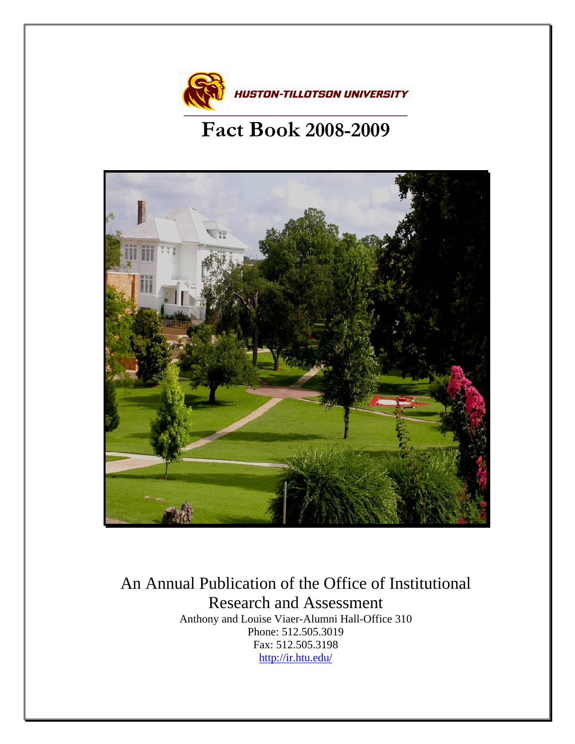

# **Fact Book 2008-2009**



An Annual Publication of the Office of Institutional Research and Assessment Anthony and Louise Viaer-Alumni Hall-Office 310 Phone: 512.505.3019 Fax: 512.505.3198 <http://ir.htu.edu/>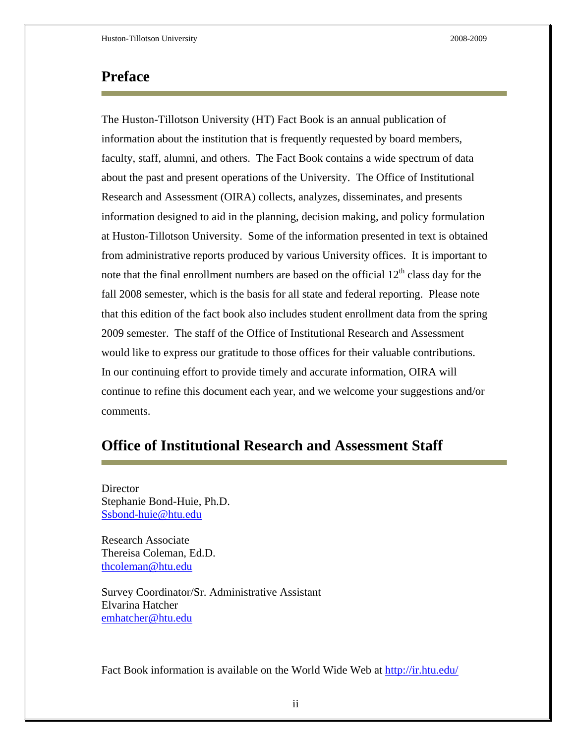#### **Preface**

The Huston-Tillotson University (HT) Fact Book is an annual publication of information about the institution that is frequently requested by board members, faculty, staff, alumni, and others. The Fact Book contains a wide spectrum of data about the past and present operations of the University. The Office of Institutional Research and Assessment (OIRA) collects, analyzes, disseminates, and presents information designed to aid in the planning, decision making, and policy formulation at Huston-Tillotson University. Some of the information presented in text is obtained from administrative reports produced by various University offices. It is important to note that the final enrollment numbers are based on the official  $12<sup>th</sup>$  class day for the fall 2008 semester, which is the basis for all state and federal reporting. Please note that this edition of the fact book also includes student enrollment data from the spring 2009 semester. The staff of the Office of Institutional Research and Assessment would like to express our gratitude to those offices for their valuable contributions. In our continuing effort to provide timely and accurate information, OIRA will continue to refine this document each year, and we welcome your suggestions and/or comments.

## **Office of Institutional Research and Assessment Staff**

Director Stephanie Bond-Huie, Ph.D. [Ssbond-huie@htu.edu](mailto:Ssbond-huie@htu.edu)

Research Associate Thereisa Coleman, Ed.D. [thcoleman@htu.edu](mailto:thcoleman@htu.edu)

Survey Coordinator/Sr. Administrative Assistant Elvarina Hatcher [emhatcher@htu.edu](mailto:emhatcher@htu.edu)

Fact Book information is available on the World Wide Web at<http://ir.htu.edu/>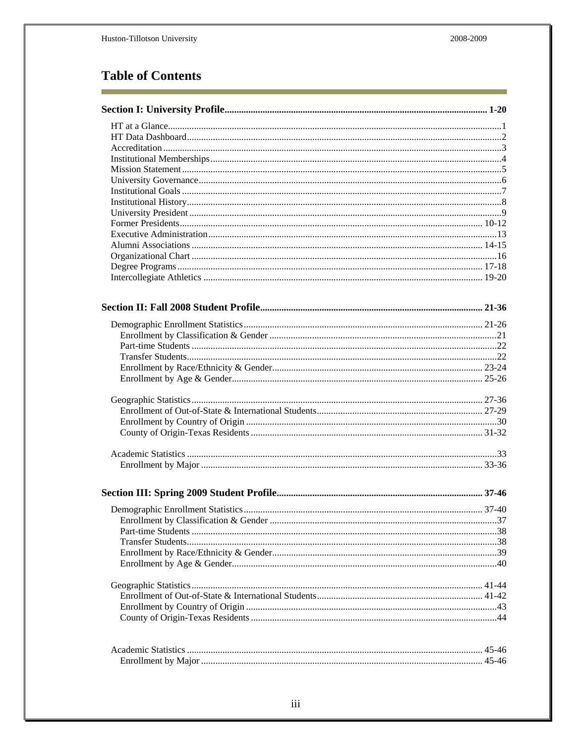## **Table of Contents**

×

| 37 |
|----|
|    |
|    |
|    |
|    |
|    |
|    |
|    |
|    |
|    |
|    |
|    |
|    |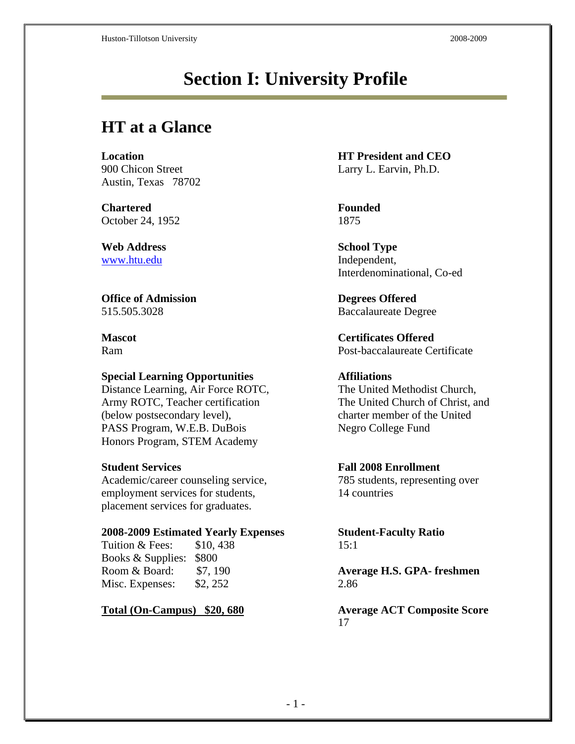# **Section I: University Profile**

## **HT at a Glance**

Austin, Texas 78702

**Chartered Founded**  October 24, 1952 1875

**Web Address School Type** [www.htu.edu](http://www.htu.edu/) Independent,

**Office of Admission Degrees Offered** 

#### **Special Learning Opportunities Affiliations**

Distance Learning, Air Force ROTC, The United Methodist Church, Army ROTC, Teacher certification The United Church of Christ, and (below postsecondary level), charter member of the United PASS Program, W.E.B. DuBois Negro College Fund Honors Program, STEM Academy

Academic/career counseling service, 785 students, representing over employment services for students, 14 countries placement services for graduates.

#### **2008-2009 Estimated Yearly Expenses Student-Faculty Ratio**

Tuition & Fees: \$10, 438 15:1 Books & Supplies: \$800 Misc. Expenses: \$2, 252 2.86

**Location HT President and CEO** 900 Chicon Street Larry L. Earvin, Ph.D.

Interdenominational, Co-ed

515.505.3028 Baccalaureate Degree

**Mascot Certificates Offered** Ram Post-baccalaureate Certificate

### **Student Services Fall 2008 Enrollment**

Room & Board: \$7, 190 **Average H.S. GPA- freshmen**

**Total (On-Campus) \$20, 680 Average ACT Composite Score** 17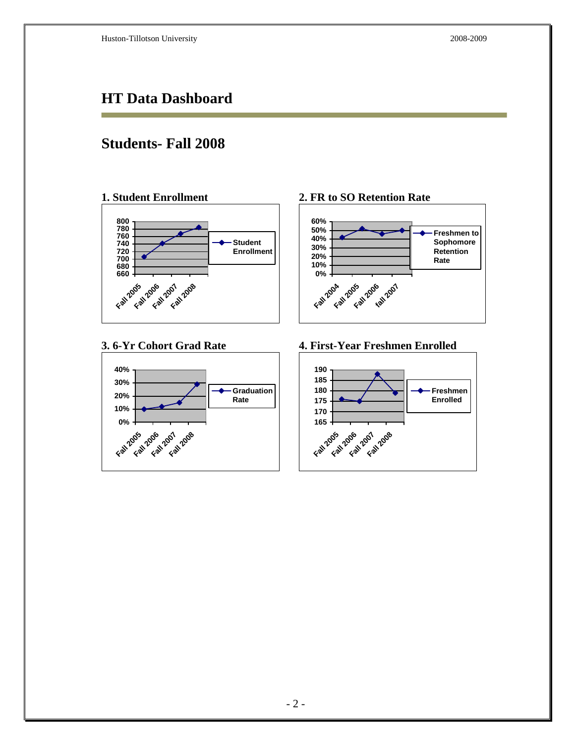## **HT Data Dashboard**

## **Students- Fall 2008**

**1. Student Enrollment** 



#### **3. 6-Yr Cohort Grad Rate**



**2. FR to SO Retention Rate** 



**4. First-Year Freshmen Enrolled** 

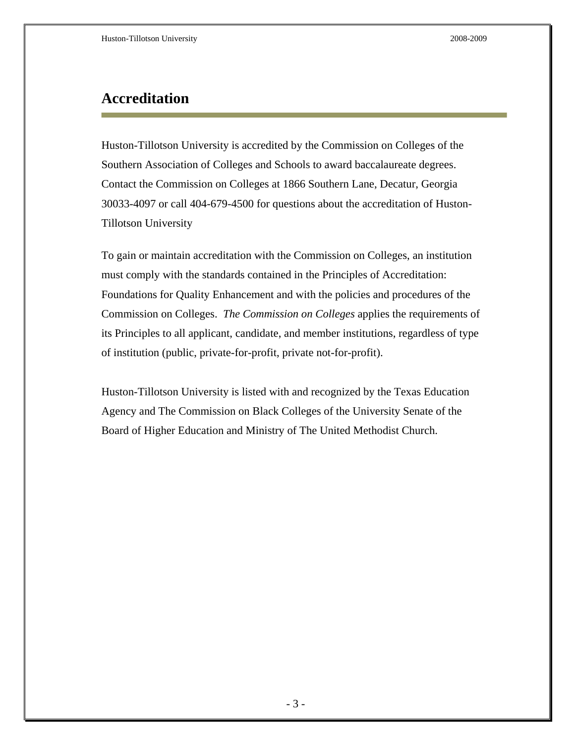## **Accreditation**

Huston-Tillotson University is accredited by the Commission on Colleges of the Southern Association of Colleges and Schools to award baccalaureate degrees. Contact the Commission on Colleges at 1866 Southern Lane, Decatur, Georgia 30033-4097 or call 404-679-4500 for questions about the accreditation of Huston-Tillotson University

To gain or maintain accreditation with the Commission on Colleges, an institution must comply with the standards contained in the Principles of Accreditation: Foundations for Quality Enhancement and with the policies and procedures of the Commission on Colleges. *The Commission on Colleges* applies the requirements of its Principles to all applicant, candidate, and member institutions, regardless of type of institution (public, private-for-profit, private not-for-profit).

Huston-Tillotson University is listed with and recognized by the Texas Education Agency and The Commission on Black Colleges of the University Senate of the Board of Higher Education and Ministry of The United Methodist Church.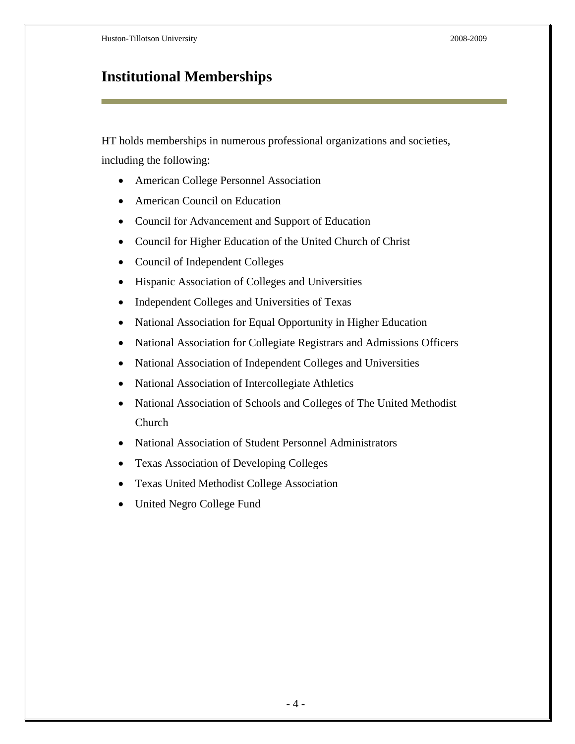## **Institutional Memberships**

HT holds memberships in numerous professional organizations and societies, including the following:

- American College Personnel Association
- American Council on Education
- Council for Advancement and Support of Education
- Council for Higher Education of the United Church of Christ
- Council of Independent Colleges
- Hispanic Association of Colleges and Universities
- Independent Colleges and Universities of Texas
- National Association for Equal Opportunity in Higher Education
- National Association for Collegiate Registrars and Admissions Officers
- National Association of Independent Colleges and Universities
- National Association of Intercollegiate Athletics
- National Association of Schools and Colleges of The United Methodist Church
- National Association of Student Personnel Administrators
- Texas Association of Developing Colleges
- Texas United Methodist College Association
- United Negro College Fund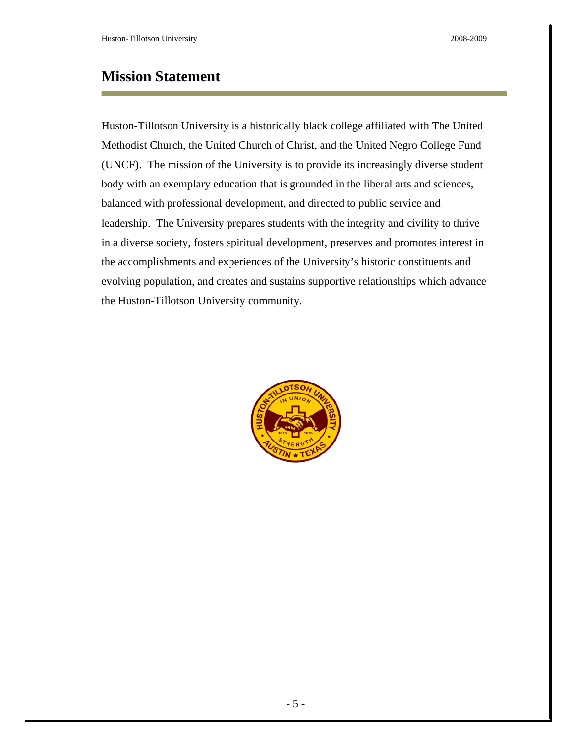## **Mission Statement**

Huston-Tillotson University is a historically black college affiliated with The United Methodist Church, the United Church of Christ, and the United Negro College Fund (UNCF). The mission of the University is to provide its increasingly diverse student body with an exemplary education that is grounded in the liberal arts and sciences, balanced with professional development, and directed to public service and leadership. The University prepares students with the integrity and civility to thrive in a diverse society, fosters spiritual development, preserves and promotes interest in the accomplishments and experiences of the University's historic constituents and evolving population, and creates and sustains supportive relationships which advance the Huston-Tillotson University community.

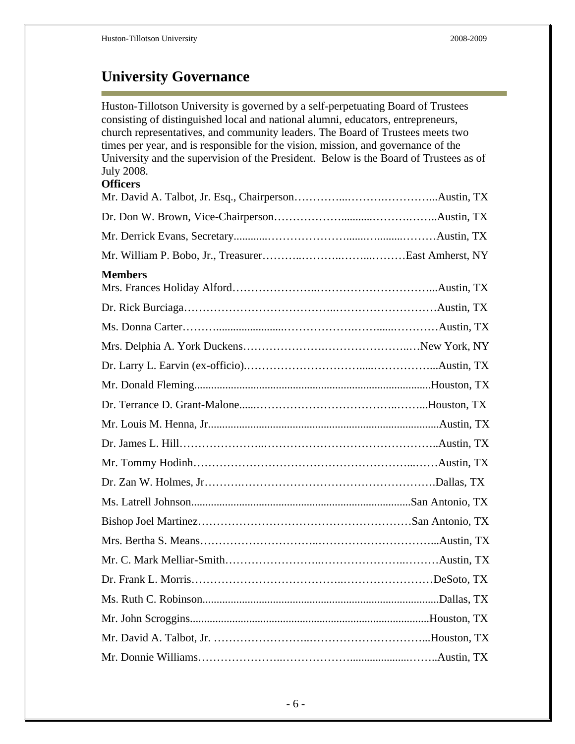Ē.

# **University Governance**

| Huston-Tillotson University is governed by a self-perpetuating Board of Trustees<br>consisting of distinguished local and national alumni, educators, entrepreneurs,<br>church representatives, and community leaders. The Board of Trustees meets two<br>times per year, and is responsible for the vision, mission, and governance of the<br>University and the supervision of the President. Below is the Board of Trustees as of<br><b>July 2008.</b><br><b>Officers</b> |  |
|------------------------------------------------------------------------------------------------------------------------------------------------------------------------------------------------------------------------------------------------------------------------------------------------------------------------------------------------------------------------------------------------------------------------------------------------------------------------------|--|
|                                                                                                                                                                                                                                                                                                                                                                                                                                                                              |  |
|                                                                                                                                                                                                                                                                                                                                                                                                                                                                              |  |
|                                                                                                                                                                                                                                                                                                                                                                                                                                                                              |  |
| <b>Members</b>                                                                                                                                                                                                                                                                                                                                                                                                                                                               |  |
|                                                                                                                                                                                                                                                                                                                                                                                                                                                                              |  |
|                                                                                                                                                                                                                                                                                                                                                                                                                                                                              |  |
|                                                                                                                                                                                                                                                                                                                                                                                                                                                                              |  |
|                                                                                                                                                                                                                                                                                                                                                                                                                                                                              |  |
|                                                                                                                                                                                                                                                                                                                                                                                                                                                                              |  |
|                                                                                                                                                                                                                                                                                                                                                                                                                                                                              |  |
|                                                                                                                                                                                                                                                                                                                                                                                                                                                                              |  |
|                                                                                                                                                                                                                                                                                                                                                                                                                                                                              |  |
|                                                                                                                                                                                                                                                                                                                                                                                                                                                                              |  |
|                                                                                                                                                                                                                                                                                                                                                                                                                                                                              |  |
|                                                                                                                                                                                                                                                                                                                                                                                                                                                                              |  |
|                                                                                                                                                                                                                                                                                                                                                                                                                                                                              |  |
|                                                                                                                                                                                                                                                                                                                                                                                                                                                                              |  |
|                                                                                                                                                                                                                                                                                                                                                                                                                                                                              |  |
|                                                                                                                                                                                                                                                                                                                                                                                                                                                                              |  |
|                                                                                                                                                                                                                                                                                                                                                                                                                                                                              |  |
|                                                                                                                                                                                                                                                                                                                                                                                                                                                                              |  |
|                                                                                                                                                                                                                                                                                                                                                                                                                                                                              |  |
|                                                                                                                                                                                                                                                                                                                                                                                                                                                                              |  |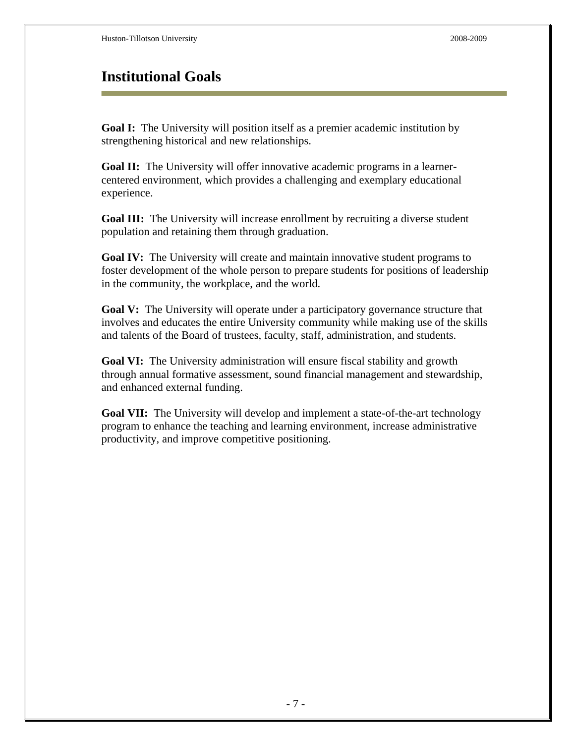## **Institutional Goals**

**Goal I:** The University will position itself as a premier academic institution by strengthening historical and new relationships.

**Goal II:** The University will offer innovative academic programs in a learnercentered environment, which provides a challenging and exemplary educational experience.

**Goal III:** The University will increase enrollment by recruiting a diverse student population and retaining them through graduation.

**Goal IV:** The University will create and maintain innovative student programs to foster development of the whole person to prepare students for positions of leadership in the community, the workplace, and the world.

**Goal V:** The University will operate under a participatory governance structure that involves and educates the entire University community while making use of the skills and talents of the Board of trustees, faculty, staff, administration, and students.

**Goal VI:** The University administration will ensure fiscal stability and growth through annual formative assessment, sound financial management and stewardship, and enhanced external funding.

**Goal VII:** The University will develop and implement a state-of-the-art technology program to enhance the teaching and learning environment, increase administrative productivity, and improve competitive positioning.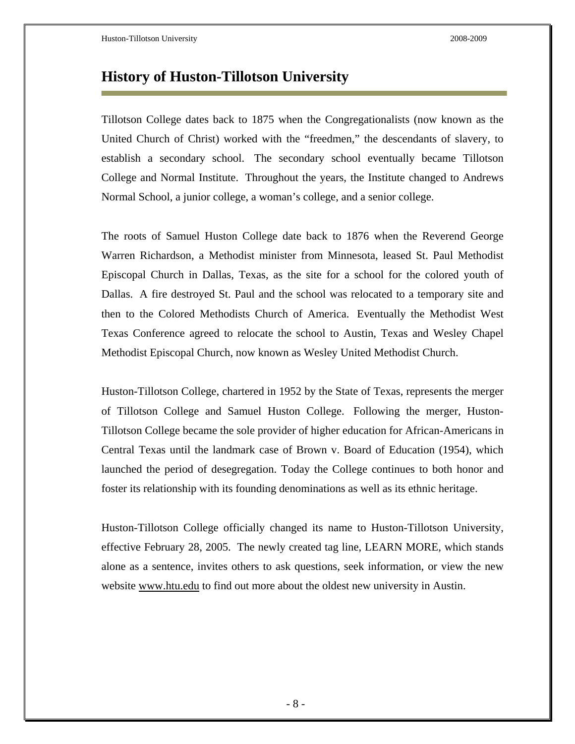## **History of Huston-Tillotson University**

Tillotson College dates back to 1875 when the Congregationalists (now known as the United Church of Christ) worked with the "freedmen," the descendants of slavery, to establish a secondary school. The secondary school eventually became Tillotson College and Normal Institute. Throughout the years, the Institute changed to Andrews Normal School, a junior college, a woman's college, and a senior college.

The roots of Samuel Huston College date back to 1876 when the Reverend George Warren Richardson, a Methodist minister from Minnesota, leased St. Paul Methodist Episcopal Church in Dallas, Texas, as the site for a school for the colored youth of Dallas. A fire destroyed St. Paul and the school was relocated to a temporary site and then to the Colored Methodists Church of America. Eventually the Methodist West Texas Conference agreed to relocate the school to Austin, Texas and Wesley Chapel Methodist Episcopal Church, now known as Wesley United Methodist Church.

Huston-Tillotson College, chartered in 1952 by the State of Texas, represents the merger of Tillotson College and Samuel Huston College. Following the merger, Huston-Tillotson College became the sole provider of higher education for African-Americans in Central Texas until the landmark case of Brown v. Board of Education (1954), which launched the period of desegregation. Today the College continues to both honor and foster its relationship with its founding denominations as well as its ethnic heritage.

Huston-Tillotson College officially changed its name to Huston-Tillotson University, effective February 28, 2005. The newly created tag line, LEARN MORE, which stands alone as a sentence, invites others to ask questions, seek information, or view the new website www.htu.edu to find out more about the oldest new university in Austin.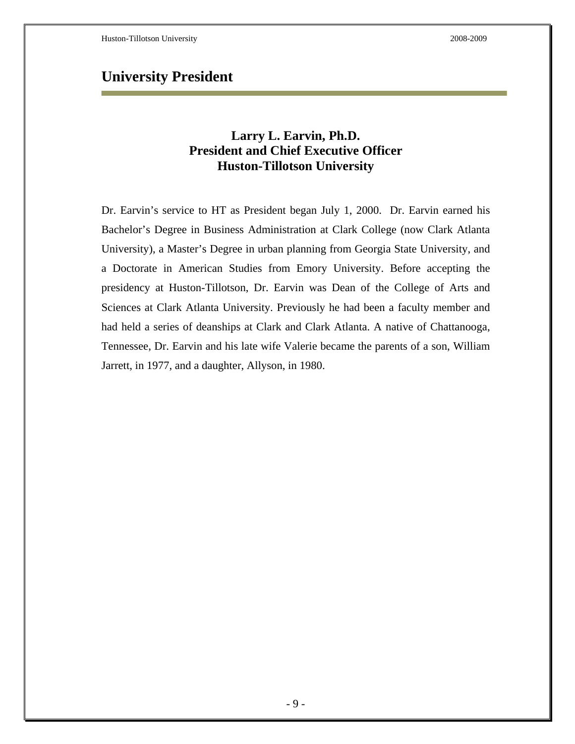## **University President**

### **Larry L. Earvin, Ph.D. President and Chief Executive Officer Huston-Tillotson University**

Dr. Earvin's service to HT as President began July 1, 2000. Dr. Earvin earned his Bachelor's Degree in Business Administration at Clark College (now Clark Atlanta University), a Master's Degree in urban planning from Georgia State University, and a Doctorate in American Studies from Emory University. Before accepting the presidency at Huston-Tillotson, Dr. Earvin was Dean of the College of Arts and Sciences at Clark Atlanta University. Previously he had been a faculty member and had held a series of deanships at Clark and Clark Atlanta. A native of Chattanooga, Tennessee, Dr. Earvin and his late wife Valerie became the parents of a son, William Jarrett, in 1977, and a daughter, Allyson, in 1980.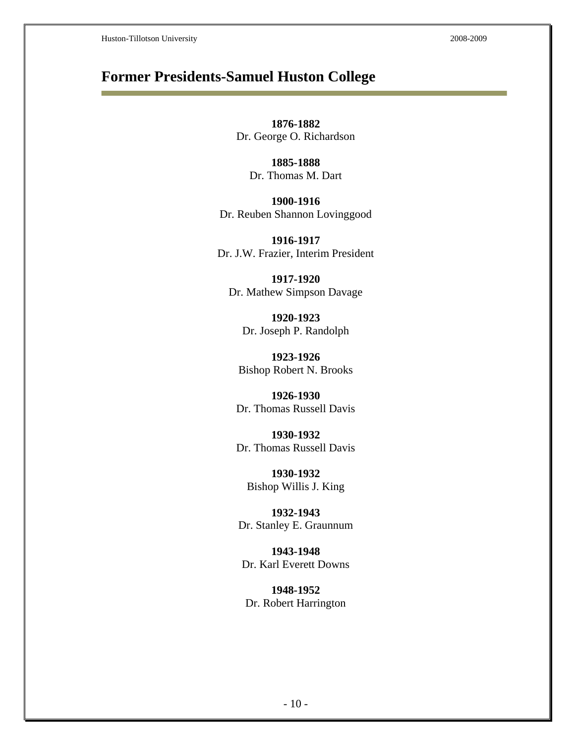## **Former Presidents-Samuel Huston College**

**1876-1882**  Dr. George O. Richardson

> **1885-1888**  Dr. Thomas M. Dart

**1900-1916**  Dr. Reuben Shannon Lovinggood

**1916-1917**  Dr. J.W. Frazier, Interim President

**1917-1920**  Dr. Mathew Simpson Davage

**1920-1923**  Dr. Joseph P. Randolph

**1923-1926**  Bishop Robert N. Brooks

**1926-1930**  Dr. Thomas Russell Davis

**1930-1932**  Dr. Thomas Russell Davis

**1930-1932**  Bishop Willis J. King

**1932-1943**  Dr. Stanley E. Graunnum

**1943-1948**  Dr. Karl Everett Downs

**1948-1952**  Dr. Robert Harrington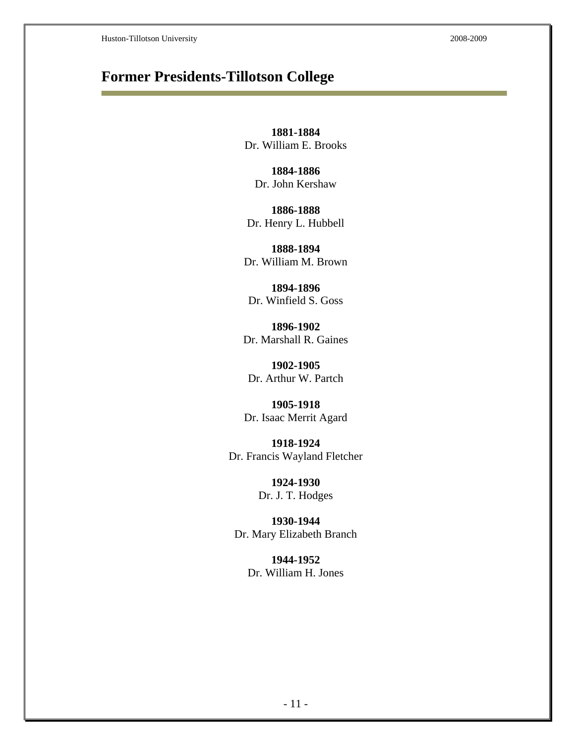## **Former Presidents-Tillotson College**

**1881-1884**  Dr. William E. Brooks

**1884-1886**  Dr. John Kershaw

**1886-1888**  Dr. Henry L. Hubbell

**1888-1894**  Dr. William M. Brown

**1894-1896**  Dr. Winfield S. Goss

**1896-1902**  Dr. Marshall R. Gaines

**1902-1905**  Dr. Arthur W. Partch

**1905-1918**  Dr. Isaac Merrit Agard

**1918-1924**  Dr. Francis Wayland Fletcher

> **1924-1930**  Dr. J. T. Hodges

**1930-1944**  Dr. Mary Elizabeth Branch

> **1944-1952**  Dr. William H. Jones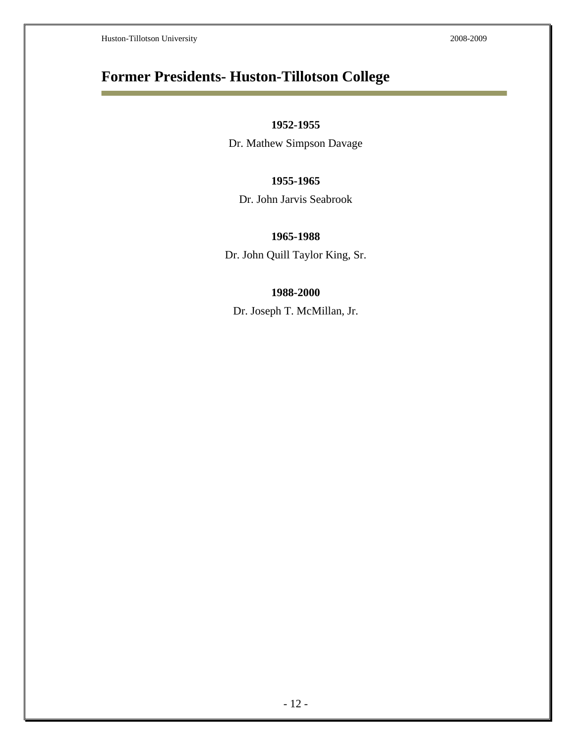Ē

## **Former Presidents- Huston-Tillotson College**

#### **1952-1955**

Dr. Mathew Simpson Davage

#### **1955-1965**

Dr. John Jarvis Seabrook

#### **1965-1988**

Dr. John Quill Taylor King, Sr.

#### **1988-2000**

Dr. Joseph T. McMillan, Jr.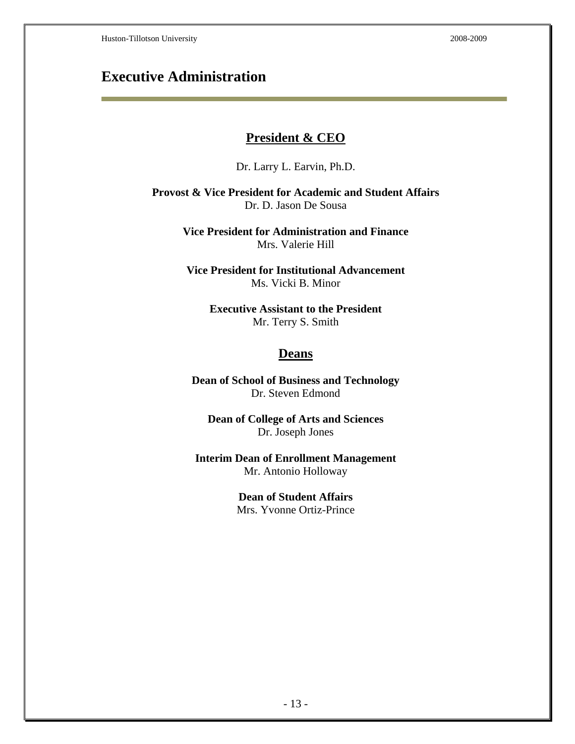## **Executive Administration**

#### **President & CEO**

Dr. Larry L. Earvin, Ph.D.

**Provost & Vice President for Academic and Student Affairs**  Dr. D. Jason De Sousa

> **Vice President for Administration and Finance**  Mrs. Valerie Hill

**Vice President for Institutional Advancement**  Ms. Vicki B. Minor

> **Executive Assistant to the President**  Mr. Terry S. Smith

#### **Deans**

**Dean of School of Business and Technology**  Dr. Steven Edmond

**Dean of College of Arts and Sciences**  Dr. Joseph Jones

**Interim Dean of Enrollment Management**  Mr. Antonio Holloway

> **Dean of Student Affairs**  Mrs. Yvonne Ortiz-Prince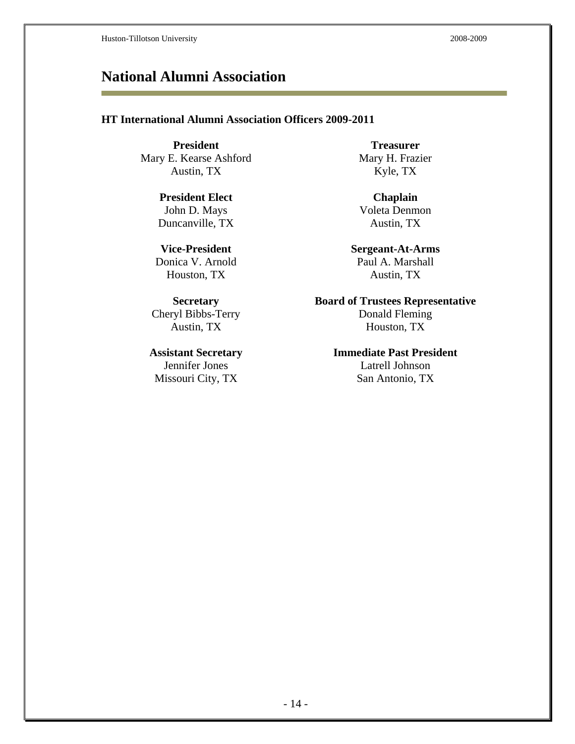## **National Alumni Association**

#### **HT International Alumni Association Officers 2009-2011**

**President Treasurer Treasurer** Mary E. Kearse Ashford Mary H. Frazier Austin, TX Kyle, TX

**President Elect** Chaplain John D. Mays Voleta Denmon Duncanville, TX Austin, TX

Missouri City, TX San Antonio, TX

**Vice-President Sergeant-At-Arms**  Donica V. Arnold Paul A. Marshall Houston, TX Austin, TX

**Secretary Board of Trustees Representative**  Cheryl Bibbs-Terry Donald Fleming Austin, TX Houston, TX

**Assistant Secretary Immediate Past President**  Jennifer Jones Latrell Johnson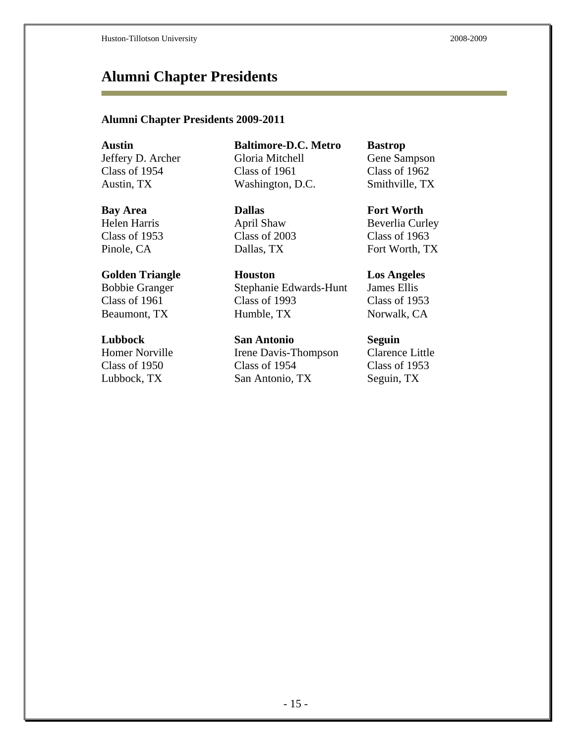## **Alumni Chapter Presidents**

#### **Alumni Chapter Presidents 2009-2011**

Jeffery D. Archer Class of 1954

Helen Harris Class of 1953

Bobbie Granger Class of 1961

Homer Norville Class of 1950

**Austin Baltimore-D.C. Metro Bastrop**  Gloria Mitchell Class of 1961 Austin, TX Washington, D.C. Smithville, TX

**Bay Area Dallas Fort Worth** April Shaw Class of 2003

**Golden Triangle Houston Los Angeles**  Stephanie Edwards-Hunt Class of 1993 Beaumont, TX Humble, TX Norwalk, CA

**Lubbock San Antonio Seguin**  Irene Davis-Thompson Class of 1954 Lubbock, TX San Antonio, TX Seguin, TX

Gene Sampson Class of 1962

Beverlia Curley Class of 1963 Pinole, CA Dallas, TX Fort Worth, TX

> James Ellis Class of 1953

Clarence Little Class of 1953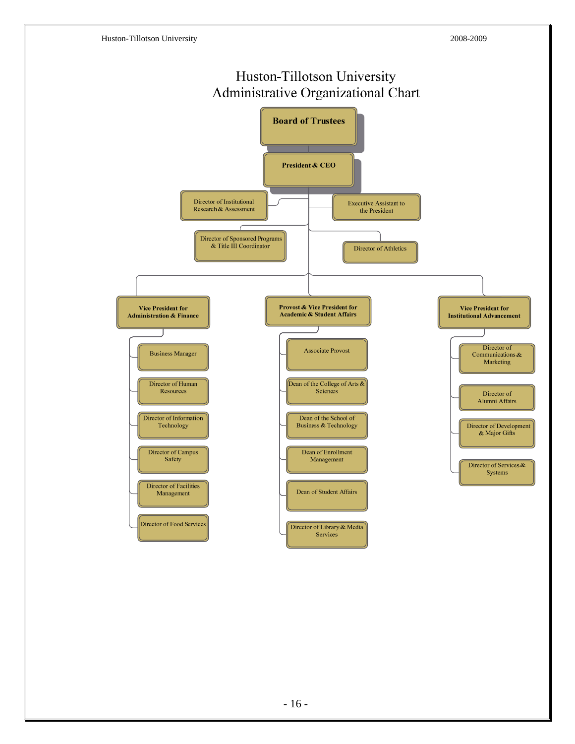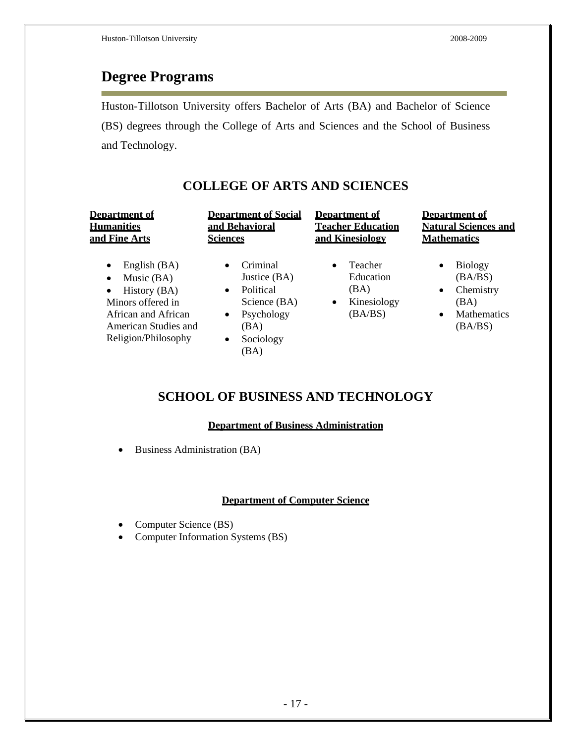## **Degree Programs**

Huston-Tillotson University offers Bachelor of Arts (BA) and Bachelor of Science (BS) degrees through the College of Arts and Sciences and the School of Business and Technology.

**COLLEGE OF ARTS AND SCIENCES**

| <b>Department of</b>                                                                                                                                                           | <b>Department of Social</b>                                                                                                                          | <b>Department of</b>                                                             | <b>Department of</b>                                                                                           |
|--------------------------------------------------------------------------------------------------------------------------------------------------------------------------------|------------------------------------------------------------------------------------------------------------------------------------------------------|----------------------------------------------------------------------------------|----------------------------------------------------------------------------------------------------------------|
| <b>Humanities</b>                                                                                                                                                              | and Behavioral                                                                                                                                       | <b>Teacher Education</b>                                                         | <b>Natural Sciences and</b>                                                                                    |
| and Fine Arts                                                                                                                                                                  | <b>Sciences</b>                                                                                                                                      | and Kinesiology                                                                  | <b>Mathematics</b>                                                                                             |
| English (BA)<br>$\bullet$<br>Music $(BA)$<br>$\bullet$<br>History (BA)<br>$\bullet$<br>Minors offered in<br>African and African<br>American Studies and<br>Religion/Philosophy | Criminal<br>$\bullet$<br>Justice (BA)<br>Political<br>$\bullet$<br>Science (BA)<br>Psychology<br>$\bullet$<br>(BA)<br>Sociology<br>$\bullet$<br>(BA) | Teacher<br>$\bullet$<br>Education<br>(BA)<br>Kinesiology<br>$\bullet$<br>(BA/BS) | <b>Biology</b><br>٠<br>(BA/BS)<br>Chemistry<br>$\bullet$<br>(BA)<br><b>Mathematics</b><br>$\bullet$<br>(BA/BS) |

## **SCHOOL OF BUSINESS AND TECHNOLOGY**

#### **Department of Business Administration**

Business Administration (BA)

#### **Department of Computer Science**

- Computer Science (BS)
- Computer Information Systems (BS)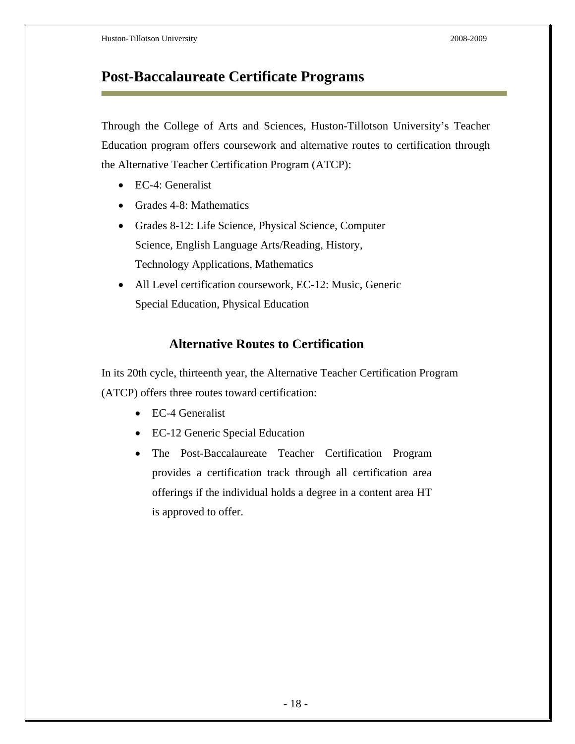## **Post-Baccalaureate Certificate Programs**

Through the College of Arts and Sciences, Huston-Tillotson University's Teacher Education program offers coursework and alternative routes to certification through the Alternative Teacher Certification Program (ATCP):

- EC-4: Generalist
- Grades 4-8: Mathematics
- Grades 8-12: Life Science, Physical Science, Computer Science, English Language Arts/Reading, History, Technology Applications, Mathematics
- All Level certification coursework, EC-12: Music, Generic Special Education, Physical Education

### **Alternative Routes to Certification**

In its 20th cycle, thirteenth year, the Alternative Teacher Certification Program (ATCP) offers three routes toward certification:

- EC-4 Generalist
- EC-12 Generic Special Education
- The Post-Baccalaureate Teacher Certification Program provides a certification track through all certification area offerings if the individual holds a degree in a content area HT is approved to offer.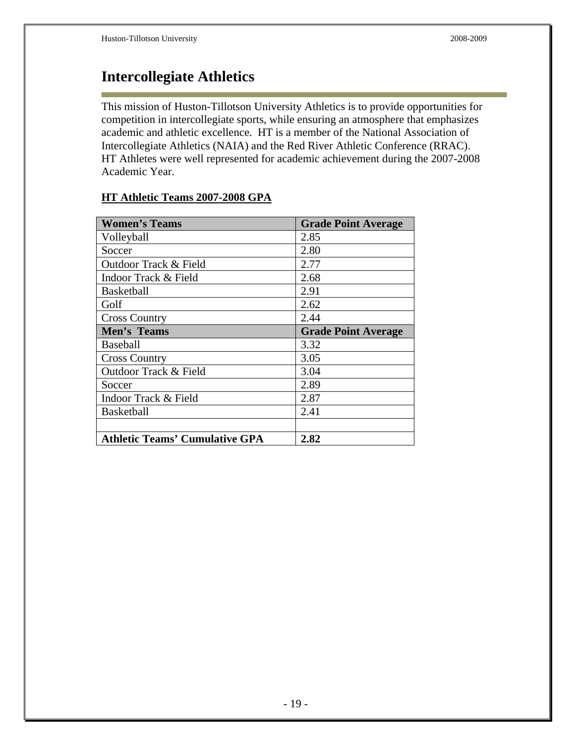## **Intercollegiate Athletics**

This mission of Huston-Tillotson University Athletics is to provide opportunities for competition in intercollegiate sports, while ensuring an atmosphere that emphasizes academic and athletic excellence. HT is a member of the National Association of Intercollegiate Athletics (NAIA) and the Red River Athletic Conference (RRAC). HT Athletes were well represented for academic achievement during the 2007-2008 Academic Year.

| <b>Women's Teams</b>                  | <b>Grade Point Average</b> |
|---------------------------------------|----------------------------|
| Volleyball                            | 2.85                       |
| Soccer                                | 2.80                       |
| Outdoor Track & Field                 | 2.77                       |
| Indoor Track & Field                  | 2.68                       |
| <b>Basketball</b>                     | 2.91                       |
| Golf                                  | 2.62                       |
| <b>Cross Country</b>                  | 2.44                       |
| Men's Teams                           | <b>Grade Point Average</b> |
| Baseball                              | 3.32                       |
| <b>Cross Country</b>                  | 3.05                       |
| Outdoor Track & Field                 | 3.04                       |
| Soccer                                | 2.89                       |
| Indoor Track & Field                  | 2.87                       |
| <b>Basketball</b>                     | 2.41                       |
|                                       |                            |
| <b>Athletic Teams' Cumulative GPA</b> | 2.82                       |

#### **HT Athletic Teams 2007-2008 GPA**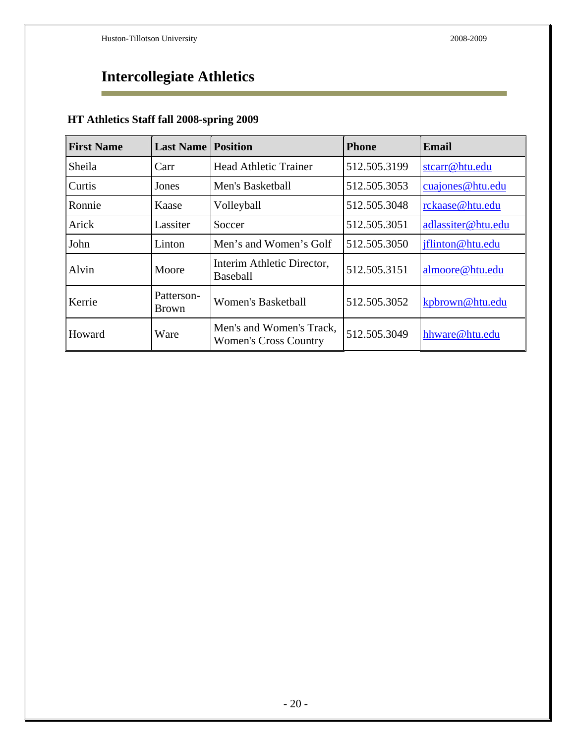### **Intercollegiate Athletics**  Ē.

## **HT Athletics Staff fall 2008-spring 2009**

| <b>First Name</b> | <b>Last Name</b>           | <b>Position</b>                                          | <b>Phone</b> | <b>Email</b>       |
|-------------------|----------------------------|----------------------------------------------------------|--------------|--------------------|
| Sheila            | Carr                       | <b>Head Athletic Trainer</b>                             | 512.505.3199 | stcarr@htu.edu     |
| <b>Curtis</b>     | Jones                      | Men's Basketball                                         | 512.505.3053 | cuajones@htu.edu   |
| Ronnie            | Kaase                      | Volleyball                                               | 512.505.3048 | rckaase@htu.edu    |
| Arick             | Lassiter                   | Soccer                                                   | 512.505.3051 | adlassiter@htu.edu |
| John              | Linton                     | Men's and Women's Golf                                   | 512.505.3050 | jflinton@htu.edu   |
| Alvin             | Moore                      | Interim Athletic Director,<br><b>Baseball</b>            | 512.505.3151 | almoore@htu.edu    |
| Kerrie            | Patterson-<br><b>Brown</b> | Women's Basketball                                       | 512.505.3052 | kpbrown@htu.edu    |
| Howard            | Ware                       | Men's and Women's Track,<br><b>Women's Cross Country</b> | 512.505.3049 | hhware@htu.edu     |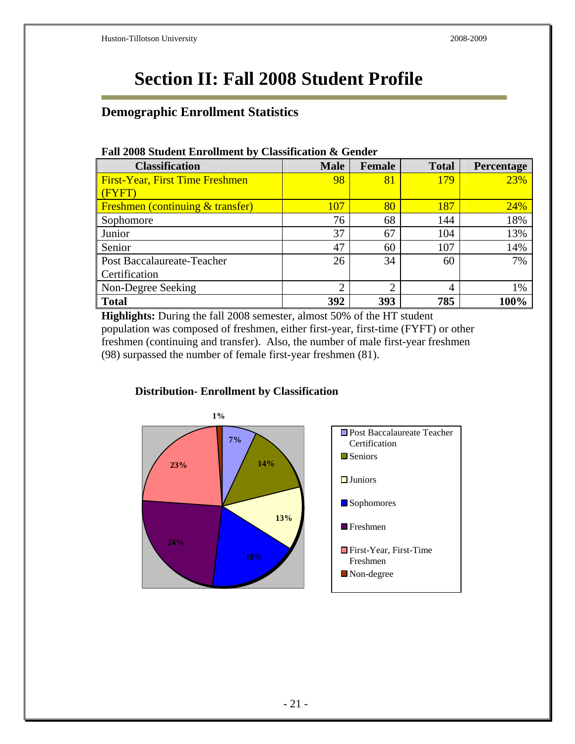# **Section II: Fall 2008 Student Profile**

### **Demographic Enrollment Statistics**

| r an 2000 Student Emplantent by Classification & Genuer |                |                |              |            |  |
|---------------------------------------------------------|----------------|----------------|--------------|------------|--|
| <b>Classification</b>                                   | <b>Male</b>    | Female         | <b>Total</b> | Percentage |  |
| <b>First-Year, First Time Freshmen</b>                  | 98             | 81             | 179          | 23%        |  |
| (FYFT)                                                  |                |                |              |            |  |
| <b>Freshmen (continuing &amp; transfer)</b>             | 107            | 80             | 187          | 24%        |  |
| Sophomore                                               | 76             | 68             | 144          | 18%        |  |
| Junior                                                  | 37             | 67             | 104          | 13%        |  |
| Senior                                                  | 47             | 60             | 107          | 14%        |  |
| Post Baccalaureate-Teacher                              | 26             | 34             | 60           | 7%         |  |
| Certification                                           |                |                |              |            |  |
| Non-Degree Seeking                                      | $\overline{2}$ | $\overline{2}$ | 4            | 1%         |  |
| <b>Total</b>                                            | 392            | 393            | 785          | 100%       |  |

#### **Fall 2008 Student Enrollment by Classification & Gender**

**Highlights:** During the fall 2008 semester, almost 50% of the HT student population was composed of freshmen, either first-year, first-time (FYFT) or other freshmen (continuing and transfer). Also, the number of male first-year freshmen (98) surpassed the number of female first-year freshmen (81).



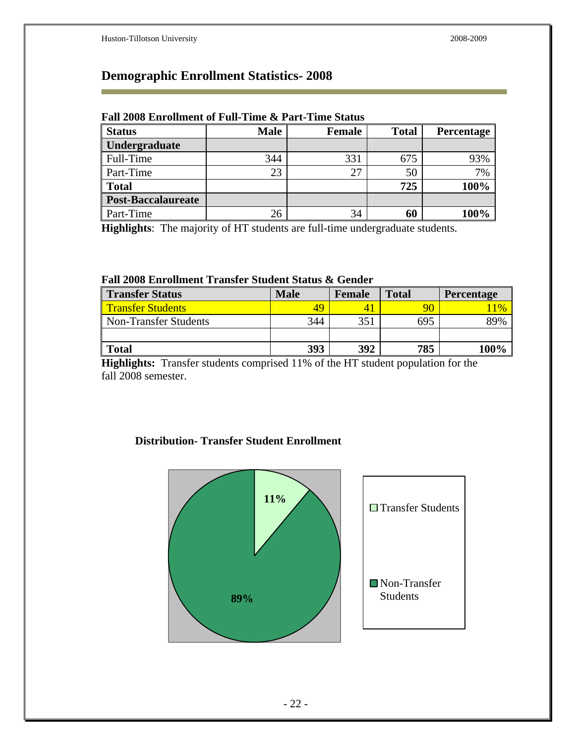r.

## **Demographic Enrollment Statistics- 2008**

| Tan 2000 Em omnem of Fan-Thire & Fare-Thire Status |             |               |              |                   |  |  |
|----------------------------------------------------|-------------|---------------|--------------|-------------------|--|--|
| <b>Status</b>                                      | <b>Male</b> | <b>Female</b> | <b>Total</b> | <b>Percentage</b> |  |  |
| Undergraduate                                      |             |               |              |                   |  |  |
| Full-Time                                          | 344         | 331           | 675          | 93%               |  |  |
| Part-Time                                          | 23          | 27            | 50           | 7%                |  |  |
| <b>Total</b>                                       |             |               | 725          | 100%              |  |  |
| <b>Post-Baccalaureate</b>                          |             |               |              |                   |  |  |
| Part-Time                                          | 26          | 34            | 60           | 100%              |  |  |

#### **Fall 2008 Enrollment of Full-Time & Part-Time Status**

**Highlights**: The majority of HT students are full-time undergraduate students.

#### **Fall 2008 Enrollment Transfer Student Status & Gender**

| <b>Transfer Status</b>   | <b>Male</b> | <b>Female</b> | <b>Total</b> | Percentage |
|--------------------------|-------------|---------------|--------------|------------|
| <b>Transfer Students</b> | 49          |               | 90           | 11%        |
| Non-Transfer Students    | 344         | 351           | 695          | 89%        |
|                          |             |               |              |            |
| <b>Total</b>             | 393         | 392           | 785          | 100%       |

**Highlights:** Transfer students comprised 11% of the HT student population for the fall 2008 semester.

#### **Distribution- Transfer Student Enrollment**

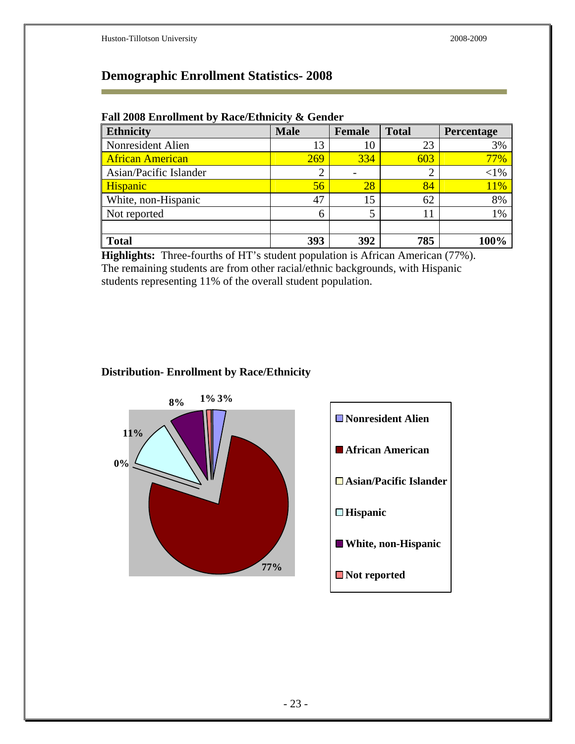i.

## **Demographic Enrollment Statistics- 2008**

| Fall 2008 Enrollment by Race/Ethnicity & Gender |  |  |
|-------------------------------------------------|--|--|
|                                                 |  |  |

| <b>Ethnicity</b>        | <b>Male</b>    | Female | <b>Total</b>   | <b>Percentage</b> |
|-------------------------|----------------|--------|----------------|-------------------|
| Nonresident Alien       | 13             | 10     | 23             | 3%                |
| <b>African American</b> | 269            | 334    | 603            | 77%               |
| Asian/Pacific Islander  | $\overline{2}$ |        | $\overline{2}$ | ${<}1\%$          |
| Hispanic                | 56             | 28     | 84             | 11%               |
| White, non-Hispanic     | 47             | 15     | 62             | 8%                |
| Not reported            | 6              |        | 11             | 1%                |
|                         |                |        |                |                   |
| <b>Total</b>            | 393            | 392    | 785            |                   |

**Highlights:** Three-fourths of HT's student population is African American (77%). The remaining students are from other racial/ethnic backgrounds, with Hispanic students representing 11% of the overall student population.

#### **Distribution- Enrollment by Race/Ethnicity**

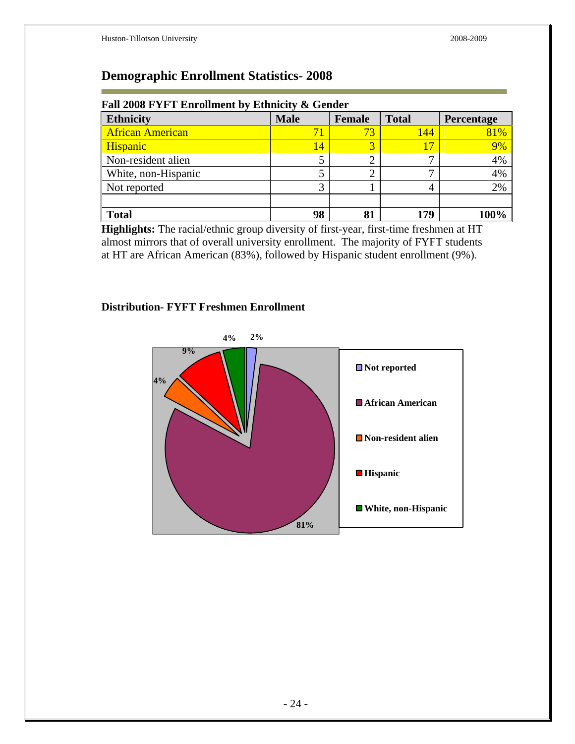## **Demographic Enrollment Statistics- 2008**

| Fall 2008 FYFT Enrollment by Ethnicity & Gender<br><b>Ethnicity</b><br><b>Male</b><br><b>Total</b><br><b>Female</b><br>Percentage |                 |    |     |      |  |  |
|-----------------------------------------------------------------------------------------------------------------------------------|-----------------|----|-----|------|--|--|
| <b>African American</b>                                                                                                           | 71              | 73 | 144 | 81%  |  |  |
| Hispanic                                                                                                                          | $\overline{14}$ | 2  |     | 9%   |  |  |
| Non-resident alien                                                                                                                |                 |    |     | 4%   |  |  |
| White, non-Hispanic                                                                                                               |                 |    |     | 4%   |  |  |
| Not reported                                                                                                                      | 3               |    | 4   | 2%   |  |  |
|                                                                                                                                   |                 |    |     |      |  |  |
| <b>Total</b>                                                                                                                      | 98              | 81 | 179 | 100% |  |  |

#### **Fall 2008 FYFT Enrollment by Ethnicity & Gender**

**Highlights:** The racial/ethnic group diversity of first-year, first-time freshmen at HT almost mirrors that of overall university enrollment. The majority of FYFT students at HT are African American (83%), followed by Hispanic student enrollment (9%).

#### **Distribution- FYFT Freshmen Enrollment**

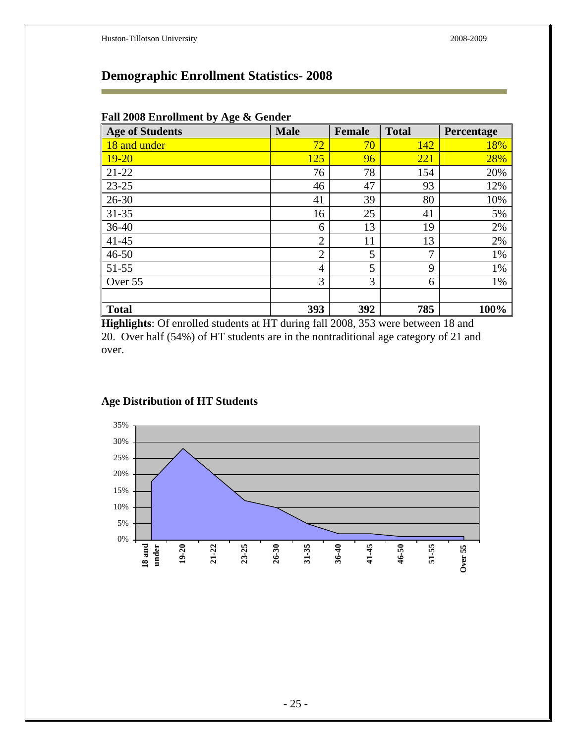## **Demographic Enrollment Statistics- 2008**

| <b>Age of Students</b> | <b>Male</b>    | <b>Female</b> | <b>Total</b> | <b>Percentage</b> |
|------------------------|----------------|---------------|--------------|-------------------|
| 18 and under           | 72             | 70            | 142          | 18%               |
| $19 - 20$              | 125            | 96            | 221          | 28%               |
| $21 - 22$              | 76             | 78            | 154          | 20%               |
| $23 - 25$              | 46             | 47            | 93           | 12%               |
| $26 - 30$              | 41             | 39            | 80           | 10%               |
| $31 - 35$              | 16             | 25            | 41           | 5%                |
| $36-40$                | 6              | 13            | 19           | 2%                |
| $41 - 45$              | $\overline{2}$ | 11            | 13           | 2%                |
| $46 - 50$              | $\overline{2}$ | 5             | 7            | 1%                |
| $51 - 55$              | 4              | 5             | 9            | 1%                |
| Over 55                | 3              | 3             | 6            | 1%                |
|                        |                |               |              |                   |
| <b>Total</b>           | 393            | 392           | 785          | 100%              |

#### **Fall 2008 Enrollment by Age & Gender**

**Highlights**: Of enrolled students at HT during fall 2008, 353 were between 18 and 20. Over half (54%) of HT students are in the nontraditional age category of 21 and over.



#### **Age Distribution of HT Students**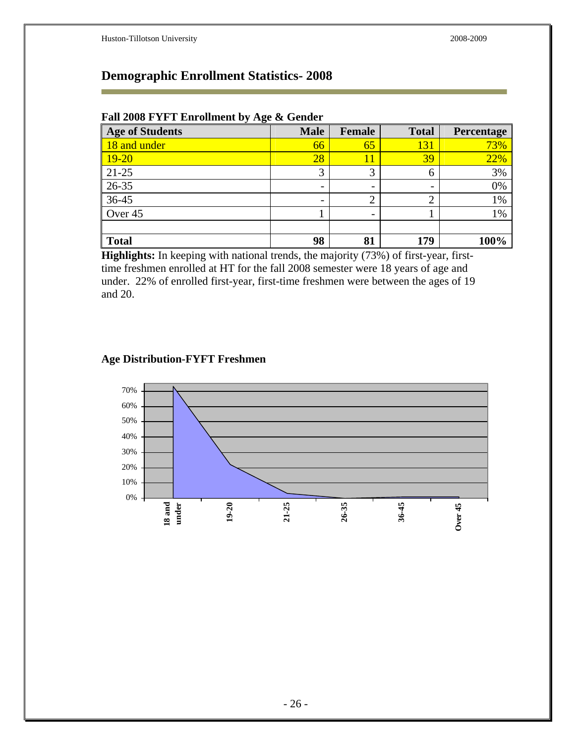## **Demographic Enrollment Statistics- 2008**

| Fall 2008 FYFT Enrollment by Age & Gender |  |  |  |  |  |  |  |
|-------------------------------------------|--|--|--|--|--|--|--|
|-------------------------------------------|--|--|--|--|--|--|--|

| <b>Age of Students</b> | <b>Male</b>              | <b>Female</b>            | <b>Total</b>             | Percentage |
|------------------------|--------------------------|--------------------------|--------------------------|------------|
| 18 and under           | 66                       | 65                       | 131                      | 73%        |
| $19 - 20$              | $\overline{28}$          | 11                       | 39                       | 22%        |
| $21 - 25$              | 3                        | 3                        | 6                        | 3%         |
| 26-35                  | -                        | $\overline{\phantom{0}}$ | $\overline{\phantom{0}}$ | 0%         |
| 36-45                  | $\overline{\phantom{0}}$ |                          | ◠<br>∠                   | 1%         |
| Over 45                |                          | $\overline{\phantom{0}}$ |                          | 1%         |
|                        |                          |                          |                          |            |
| <b>Total</b>           | 98                       | 81                       | 179                      | 100%       |

**Highlights:** In keeping with national trends, the majority (73%) of first-year, firsttime freshmen enrolled at HT for the fall 2008 semester were 18 years of age and under. 22% of enrolled first-year, first-time freshmen were between the ages of 19 and 20.

#### **Age Distribution-FYFT Freshmen**

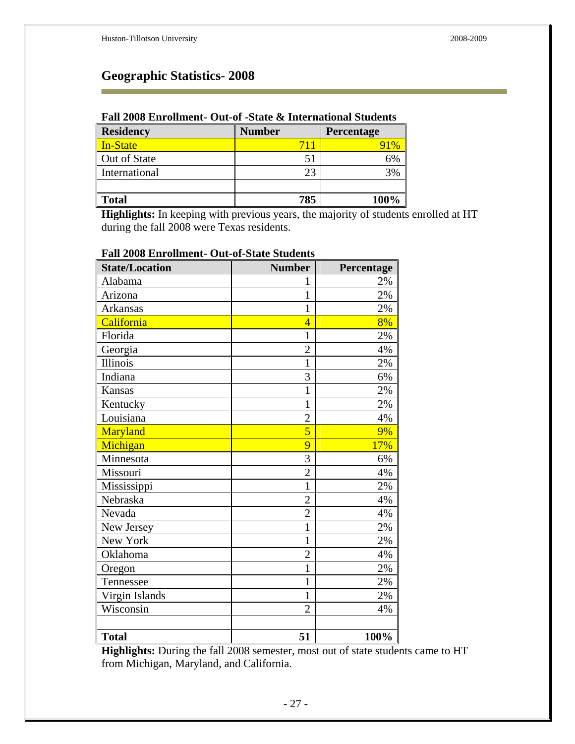r.

## **Geographic Statistics- 2008**

#### **Fall 2008 Enrollment- Out-of -State & International Students**

| <b>Residency</b> | <b>Number</b> | <b>Percentage</b> |
|------------------|---------------|-------------------|
| In-State         | 711           |                   |
| Out of State     |               | 6%                |
| International    | 23            | 3%                |
|                  |               |                   |
| <b>Total</b>     | 785           | 100%              |

**Highlights:** In keeping with previous years, the majority of students enrolled at HT during the fall 2008 were Texas residents.

| <b>State/Location</b> | <b>Number</b>  | Percentage |
|-----------------------|----------------|------------|
| Alabama               | 1              | 2%         |
| Arizona               | $\mathbf{1}$   | 2%         |
| <b>Arkansas</b>       | $\mathbf{1}$   | 2%         |
| California            | $\overline{4}$ | 8%         |
| Florida               | $\mathbf 1$    | $2\%$      |
| Georgia               | $\overline{2}$ | 4%         |
| Illinois              | $\mathbf{1}$   | 2%         |
| Indiana               | 3              | 6%         |
| Kansas                | 1              | 2%         |
| Kentucky              | $\mathbf{1}$   | 2%         |
| Louisiana             | $\overline{2}$ | 4%         |
| Maryland              | 5              | 9%         |
| Michigan              | 9              | 17%        |
| Minnesota             | 3              | 6%         |
| Missouri              | $\overline{2}$ | 4%         |
| Mississippi           | $\mathbf{1}$   | 2%         |
| Nebraska              | $\overline{2}$ | 4%         |
| Nevada                | $\overline{2}$ | 4%         |
| New Jersey            | $\mathbf{1}$   | 2%         |
| New York              | $\mathbf 1$    | 2%         |
| Oklahoma              | $\overline{2}$ | 4%         |
| Oregon                | $\mathbf{1}$   | 2%         |
| Tennessee             | $\mathbf{1}$   | 2%         |
| Virgin Islands        | $\mathbf{1}$   | 2%         |
| Wisconsin             | $\overline{2}$ | 4%         |
|                       |                |            |
| <b>Total</b>          | 51             | 100%       |

#### **Fall 2008 Enrollment- Out-of-State Students**

**Highlights:** During the fall 2008 semester, most out of state students came to HT from Michigan, Maryland, and California.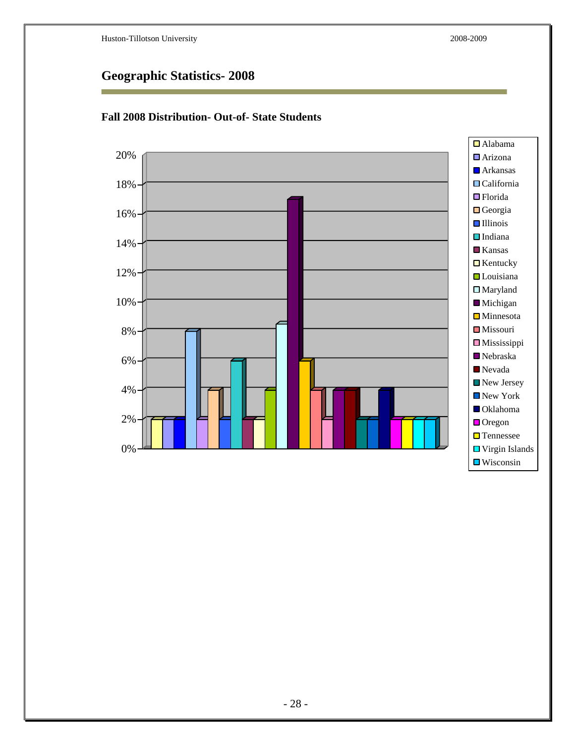

#### **Fall 2008 Distribution- Out-of- State Students**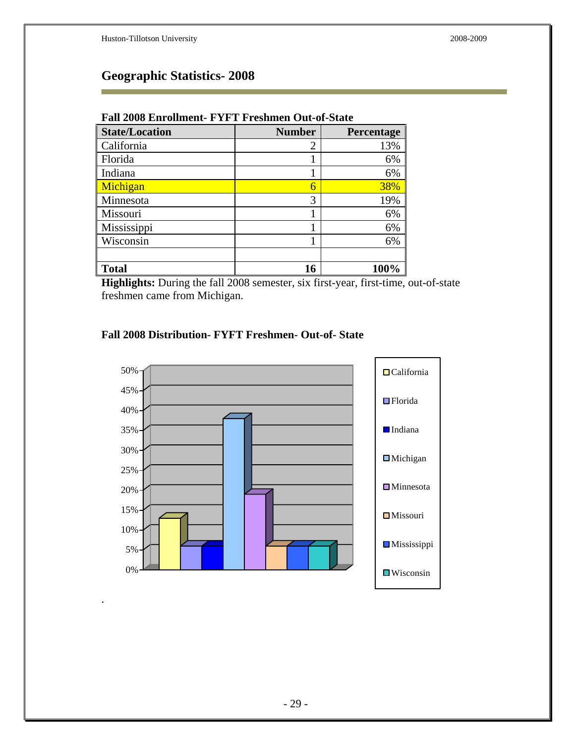.

## **Geographic Statistics- 2008**

| <b>State/Location</b> | <b>Number</b>  | Percentage |  |  |
|-----------------------|----------------|------------|--|--|
| California            | $\overline{2}$ | 13%        |  |  |
| Florida               |                | 6%         |  |  |
| Indiana               |                | 6%         |  |  |
| Michigan              | 6              | 38%        |  |  |
| Minnesota             | 3              | 19%        |  |  |
| Missouri              |                | 6%         |  |  |
| Mississippi           |                | 6%         |  |  |
| Wisconsin             |                | 6%         |  |  |
|                       |                |            |  |  |
| <b>Total</b>          | 16             | 100%       |  |  |

#### **Fall 2008 Enrollment- FYFT Freshmen Out-of-State**

**Highlights:** During the fall 2008 semester, six first-year, first-time, out-of-state freshmen came from Michigan.

#### **Fall 2008 Distribution- FYFT Freshmen- Out-of- State**

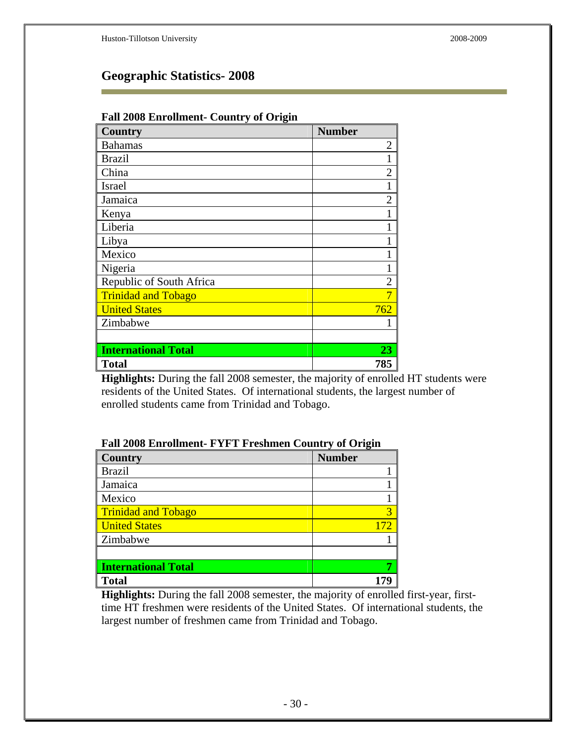| r an 2000 Embandent-Country of Origin |                |  |  |
|---------------------------------------|----------------|--|--|
| <b>Country</b>                        | <b>Number</b>  |  |  |
| <b>Bahamas</b>                        | $\overline{2}$ |  |  |
| <b>Brazil</b>                         | $\mathbf{1}$   |  |  |
| China                                 | $\overline{2}$ |  |  |
| <b>Israel</b>                         |                |  |  |
| Jamaica                               | $\overline{2}$ |  |  |
| Kenya                                 |                |  |  |
| Liberia                               |                |  |  |
| Libya                                 |                |  |  |
| Mexico                                | 1              |  |  |
| Nigeria                               |                |  |  |
| Republic of South Africa              | $\overline{2}$ |  |  |
| <b>Trinidad and Tobago</b>            | 7              |  |  |
| <b>United States</b>                  | 762            |  |  |
| Zimbabwe                              |                |  |  |
|                                       |                |  |  |
| <b>International Total</b>            | 23             |  |  |
| <b>Total</b>                          | 785            |  |  |

#### **Fall 2008 Enrollment- Country of Origin**

**Highlights:** During the fall 2008 semester, the majority of enrolled HT students were residents of the United States. Of international students, the largest number of enrolled students came from Trinidad and Tobago.

#### **Fall 2008 Enrollment- FYFT Freshmen Country of Origin**

| <b>Country</b>             | <b>Number</b> |
|----------------------------|---------------|
| <b>Brazil</b>              |               |
| Jamaica                    |               |
| Mexico                     |               |
| <b>Trinidad and Tobago</b> | 3             |
| <b>United States</b>       |               |
| Zimbabwe                   |               |
|                            |               |
| <b>International Total</b> |               |
| <b>Total</b>               |               |

**Highlights:** During the fall 2008 semester, the majority of enrolled first-year, firsttime HT freshmen were residents of the United States. Of international students, the largest number of freshmen came from Trinidad and Tobago.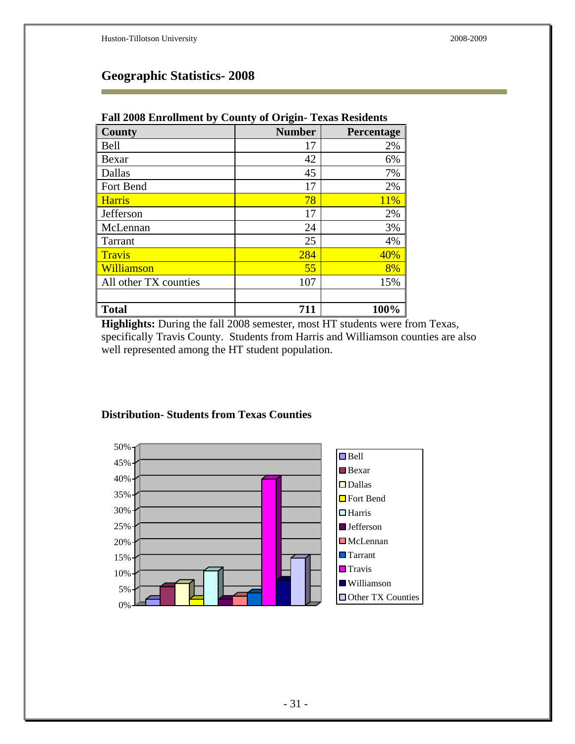| ັ<br><b>County</b>    | ັ<br>o<br><b>Number</b> | Percentage |
|-----------------------|-------------------------|------------|
| Bell                  | 17                      | 2%         |
| Bexar                 | 42                      | 6%         |
| Dallas                | 45                      | 7%         |
| Fort Bend             | 17                      | 2%         |
| <b>Harris</b>         | 78                      | 11%        |
| Jefferson             | 17                      | 2%         |
| McLennan              | 24                      | 3%         |
| Tarrant               | 25                      | 4%         |
| <b>Travis</b>         | 284                     | 40%        |
| Williamson            | 55                      | 8%         |
| All other TX counties | 107                     | 15%        |
|                       |                         |            |
| <b>Total</b>          | 711                     | 100%       |

#### **Fall 2008 Enrollment by County of Origin- Texas Residents**

**Highlights:** During the fall 2008 semester, most HT students were from Texas, specifically Travis County. Students from Harris and Williamson counties are also well represented among the HT student population.



#### **Distribution- Students from Texas Counties**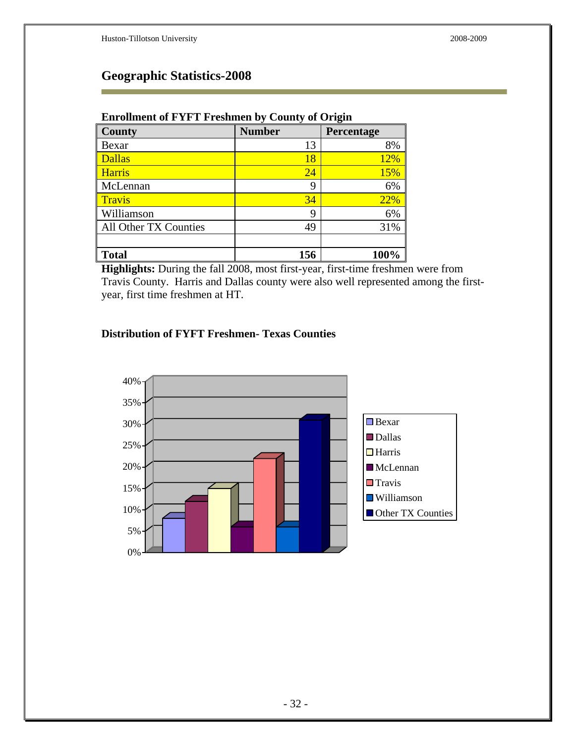| -                     |               |            |  |  |
|-----------------------|---------------|------------|--|--|
| <b>County</b>         | <b>Number</b> | Percentage |  |  |
| Bexar                 | 13            | 8%         |  |  |
| <b>Dallas</b>         | 18            | 12%        |  |  |
| <b>Harris</b>         | 24            | 15%        |  |  |
| McLennan              | 9             | 6%         |  |  |
| <b>Travis</b>         | 34            | 22%        |  |  |
| Williamson            | 9             | 6%         |  |  |
| All Other TX Counties | 49            | 31%        |  |  |
|                       |               |            |  |  |
| <b>Total</b>          | 156           | 100%       |  |  |

#### **Enrollment of FYFT Freshmen by County of Origin**

**Highlights:** During the fall 2008, most first-year, first-time freshmen were from Travis County. Harris and Dallas county were also well represented among the firstyear, first time freshmen at HT.

#### **Distribution of FYFT Freshmen- Texas Counties**

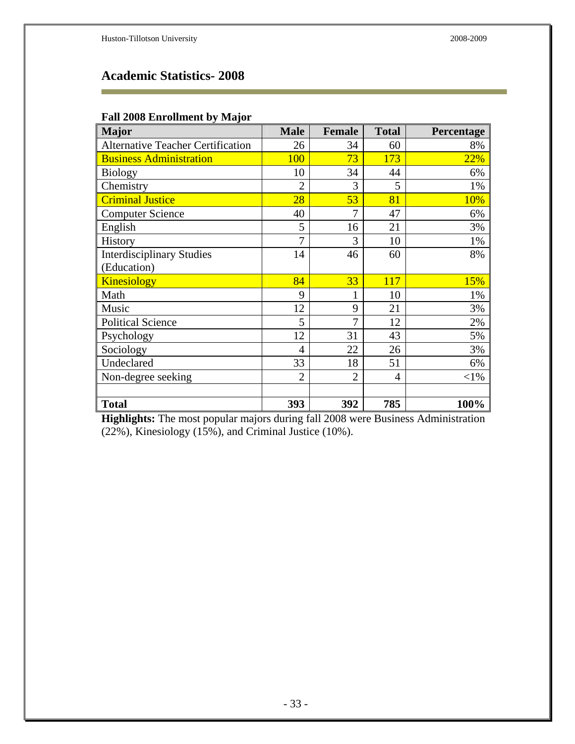×

# **Academic Statistics- 2008**

| <b>Fall 2008 Enrollment by Major</b> |  |  |  |  |  |  |
|--------------------------------------|--|--|--|--|--|--|
|--------------------------------------|--|--|--|--|--|--|

| <b>Major</b>                             | <b>Male</b>    | <b>Female</b>  | <b>Total</b> | Percentage |
|------------------------------------------|----------------|----------------|--------------|------------|
| <b>Alternative Teacher Certification</b> | 26             | 34             | 60           | 8%         |
| <b>Business Administration</b>           | 100            | 73             | 173          | 22%        |
| <b>Biology</b>                           | 10             | 34             | 44           | 6%         |
| Chemistry                                | $\overline{2}$ | 3              | 5            | 1%         |
| <b>Criminal Justice</b>                  | 28             | 53             | 81           | 10%        |
| <b>Computer Science</b>                  | 40             | 7              | 47           | 6%         |
| English                                  | 5              | 16             | 21           | 3%         |
| History                                  | 7              | 3              | 10           | 1%         |
| <b>Interdisciplinary Studies</b>         | 14             | 46             | 60           | 8%         |
| (Education)                              |                |                |              |            |
| <b>Kinesiology</b>                       | 84             | 33             | 117          | 15%        |
| Math                                     | 9              | 1              | 10           | 1%         |
| Music                                    | 12             | 9              | 21           | 3%         |
| <b>Political Science</b>                 | 5              | 7              | 12           | 2%         |
| Psychology                               | 12             | 31             | 43           | 5%         |
| Sociology                                | $\overline{4}$ | 22             | 26           | 3%         |
| Undeclared                               | 33             | 18             | 51           | 6%         |
| Non-degree seeking                       | $\overline{2}$ | $\overline{2}$ | 4            | $<$ 1%     |
|                                          |                |                |              |            |
| <b>Total</b>                             | 393            | 392            | 785          | 100%       |

**Highlights:** The most popular majors during fall 2008 were Business Administration (22%), Kinesiology (15%), and Criminal Justice (10%).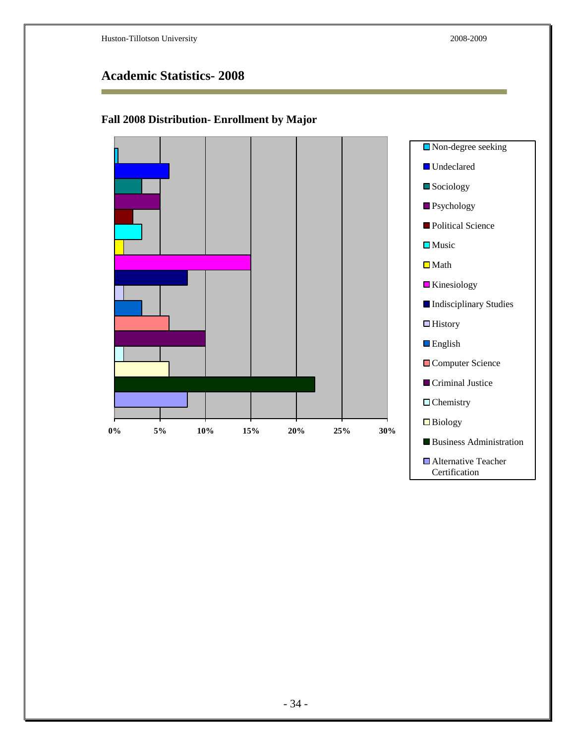i.

Certification

# **Academic Statistics- 2008**

### **Fall 2008 Distribution- Enrollment by Major**

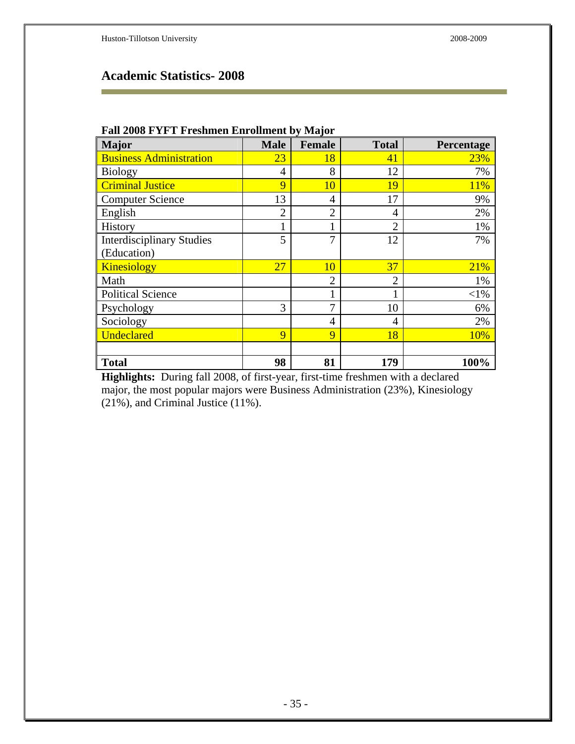Ē.

# **Academic Statistics- 2008**

| <b>Major</b>                     | $\mathbf{v}$ . Din valuelle $\mathbf{v}_J$<br><b>Male</b> | $\mathbf{r}$ $\mathbf{r}$ $\mathbf{r}$<br><b>Female</b> | <b>Total</b>   | Percentage |
|----------------------------------|-----------------------------------------------------------|---------------------------------------------------------|----------------|------------|
| <b>Business Administration</b>   | 23                                                        | 18                                                      | 41             | 23%        |
| <b>Biology</b>                   | 4                                                         | 8                                                       | 12             | 7%         |
| <b>Criminal Justice</b>          | 9                                                         | 10                                                      | 19             | 11%        |
| <b>Computer Science</b>          | 13                                                        | 4                                                       | 17             | 9%         |
| English                          | $\overline{2}$                                            | $\overline{2}$                                          | 4              | 2%         |
| History                          | 1                                                         | 1                                                       | $\overline{2}$ | 1%         |
| <b>Interdisciplinary Studies</b> | 5                                                         | 7                                                       | 12             | 7%         |
| (Education)                      |                                                           |                                                         |                |            |
| Kinesiology                      | 27                                                        | 10                                                      | 37             | 21%        |
| Math                             |                                                           | $\overline{2}$                                          | $\overline{2}$ | 1%         |
| <b>Political Science</b>         |                                                           | 1                                                       |                | ${<}1\%$   |
| Psychology                       | 3                                                         | 7                                                       | 10             | 6%         |
| Sociology                        |                                                           | 4                                                       | 4              | 2%         |
| <b>Undeclared</b>                | 9                                                         | 9                                                       | 18             | 10%        |
|                                  |                                                           |                                                         |                |            |
| <b>Total</b>                     | 98                                                        | 81                                                      | 179            | 100%       |

#### **Fall 2008 FYFT Freshmen Enrollment by Major**

**Highlights:** During fall 2008, of first-year, first-time freshmen with a declared major, the most popular majors were Business Administration (23%), Kinesiology (21%), and Criminal Justice (11%).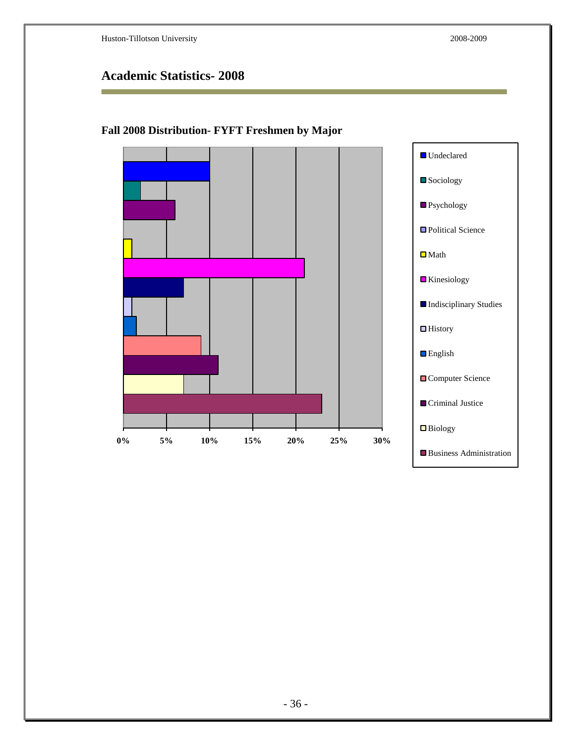# **Academic Statistics- 2008**

### **Fall 2008 Distribution- FYFT Freshmen by Major**

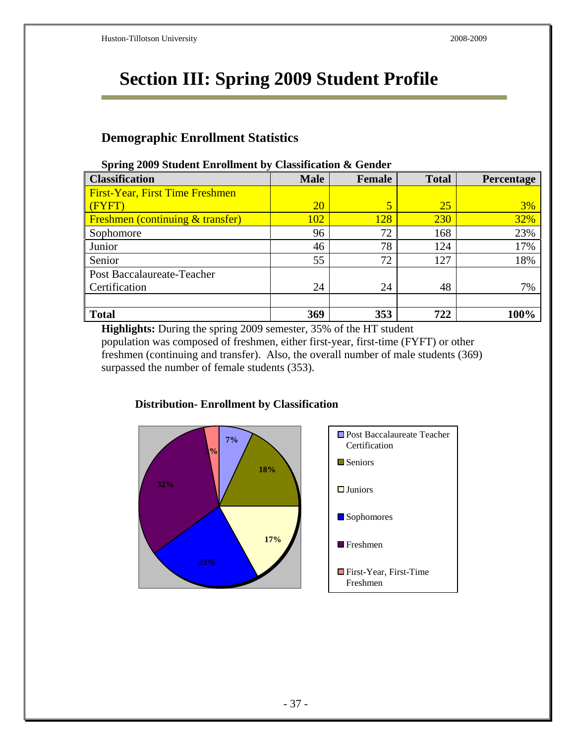# **Section III: Spring 2009 Student Profile**

### **Demographic Enrollment Statistics**

|                                         | Chappairteach as Genteen |        |              |            |
|-----------------------------------------|--------------------------|--------|--------------|------------|
| <b>Classification</b>                   | <b>Male</b>              | Female | <b>Total</b> | Percentage |
| <b>First-Year, First Time Freshmen</b>  |                          |        |              |            |
| $\sqrt{\text{FYFT}}$                    | <b>20</b>                | 5      | -25          | 3%         |
| <b>Freshmen</b> (continuing & transfer) | 102                      | 128    | 230          | 32%        |
| Sophomore                               | 96                       | 72     | 168          | 23%        |
| Junior                                  | 46                       | 78     | 124          | 17%        |
| Senior                                  | 55                       | 72     | 127          | 18%        |
| Post Baccalaureate-Teacher              |                          |        |              |            |
| Certification                           | 24                       | 24     | 48           | 7%         |
|                                         |                          |        |              |            |
| <b>Total</b>                            | 369                      | 353    | 722          | 100%       |

#### **Spring 2009 Student Enrollment by Classification & Gender**

**Highlights:** During the spring 2009 semester, 35% of the HT student population was composed of freshmen, either first-year, first-time (FYFT) or other freshmen (continuing and transfer). Also, the overall number of male students (369) surpassed the number of female students (353).



### **Distribution- Enrollment by Classification**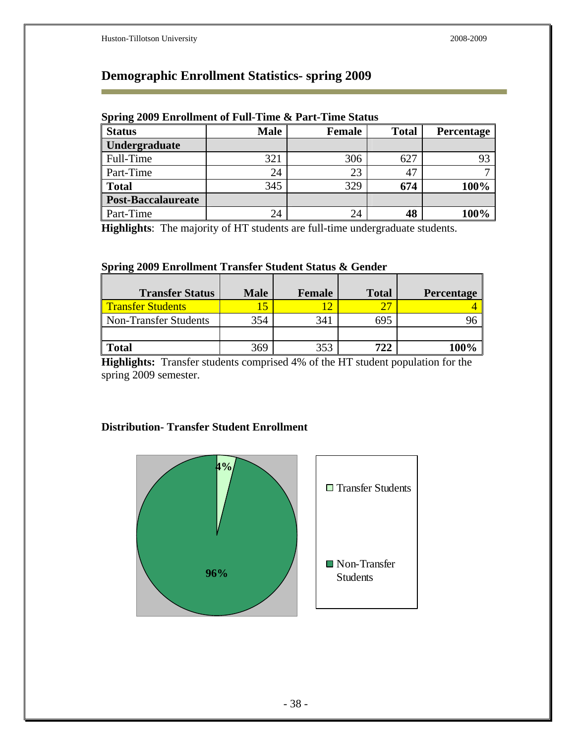Ē.

# **Demographic Enrollment Statistics- spring 2009**

| <b>Status</b>             | <b>Male</b> | Female | <b>Total</b> | <b>Percentage</b> |
|---------------------------|-------------|--------|--------------|-------------------|
| Undergraduate             |             |        |              |                   |
| Full-Time                 | 321         | 306    | 627          |                   |
| Part-Time                 | 24          | 23     | 47           |                   |
| <b>Total</b>              | 345         | 329    | 674          | 100%              |
| <b>Post-Baccalaureate</b> |             |        |              |                   |
| Part-Time                 | 24          | 24     | 48           | 100%              |

### **Spring 2009 Enrollment of Full-Time & Part-Time Status**

**Highlights**: The majority of HT students are full-time undergraduate students.

#### **Spring 2009 Enrollment Transfer Student Status & Gender**

| <b>Transfer Status</b>   | <b>Male</b> | Female | <b>Total</b> | <b>Percentage</b> |
|--------------------------|-------------|--------|--------------|-------------------|
| <b>Transfer Students</b> |             |        | つワ           |                   |
| Non-Transfer Students    | 354         | 341    | 695          |                   |
|                          |             |        |              |                   |
| <b>Total</b>             | 369         | 353    | 722          |                   |

**Highlights:** Transfer students comprised 4% of the HT student population for the spring 2009 semester.

### **Distribution- Transfer Student Enrollment**

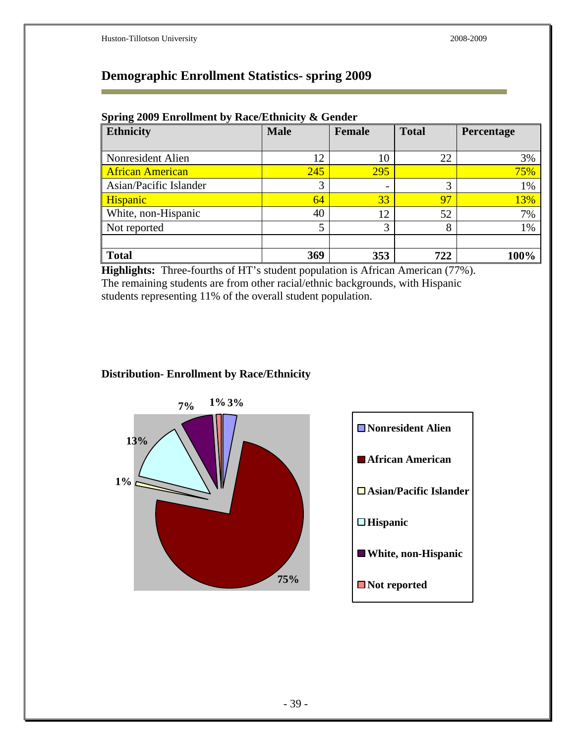Ē.

### **Demographic Enrollment Statistics- spring 2009**

| <b>Ethnicity</b>        | <b>Male</b> | <b>Female</b>            | <b>Total</b> | Percentage |
|-------------------------|-------------|--------------------------|--------------|------------|
|                         |             |                          |              |            |
| Nonresident Alien       | 12          | 10                       | 22           | 3%         |
| <b>African American</b> | 245         | 295                      |              | 75%        |
| Asian/Pacific Islander  | 3           | $\overline{\phantom{a}}$ | 3            | 1%         |
| <b>Hispanic</b>         | 64          | 33                       | 97           | 13%        |
| White, non-Hispanic     | 40          | 12                       | 52           | 7%         |
| Not reported            | 5           | 3                        | 8            | 1%         |
|                         |             |                          |              |            |
| <b>Total</b>            | 369         | 353                      | 722          | 100%       |

#### **Spring 2009 Enrollment by Race/Ethnicity & Gender**

**Highlights:** Three-fourths of HT's student population is African American (77%). The remaining students are from other racial/ethnic backgrounds, with Hispanic students representing 11% of the overall student population.

### **Distribution- Enrollment by Race/Ethnicity**



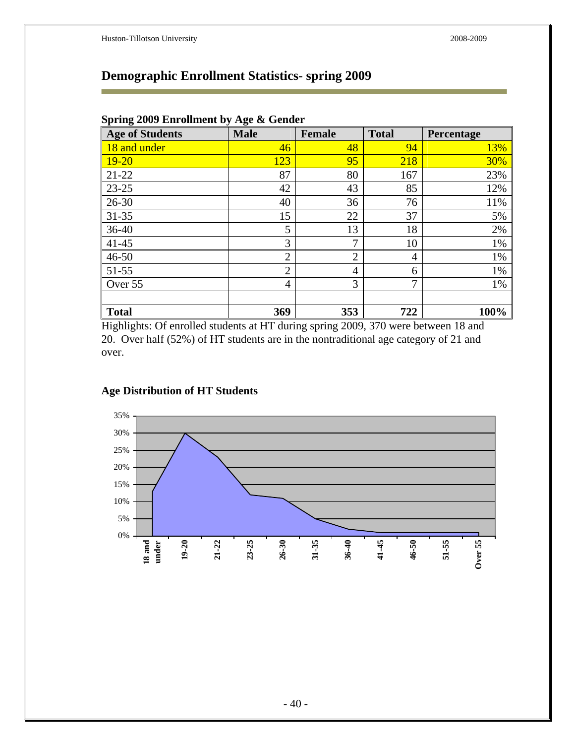# **Demographic Enrollment Statistics- spring 2009**

| <b>Age of Students</b> | <b>Male</b>    | <b>Female</b>  | <b>Total</b> | Percentage |
|------------------------|----------------|----------------|--------------|------------|
| 18 and under           | 46             | 48             | 94           | 13%        |
| $19 - 20$              | 123            | 95             | 218          | 30%        |
| $21-22$                | 87             | 80             | 167          | 23%        |
| $23 - 25$              | 42             | 43             | 85           | 12%        |
| $26 - 30$              | 40             | 36             | 76           | 11%        |
| $31 - 35$              | 15             | 22             | 37           | 5%         |
| $36-40$                | 5              | 13             | 18           | 2%         |
| $41 - 45$              | 3              | $\overline{7}$ | 10           | 1%         |
| $46 - 50$              | $\overline{2}$ | $\overline{2}$ | 4            | 1%         |
| $51 - 55$              | $\overline{2}$ | $\overline{4}$ | 6            | 1%         |
| Over 55                | $\overline{4}$ | 3              | $\mathbf{r}$ | 1%         |
| <b>Total</b>           | 369            | 353            | 722          | 100%       |

### **Spring 2009 Enrollment by Age & Gender**

Highlights: Of enrolled students at HT during spring 2009, 370 were between 18 and 20. Over half (52%) of HT students are in the nontraditional age category of 21 and over.

### **Age Distribution of HT Students**

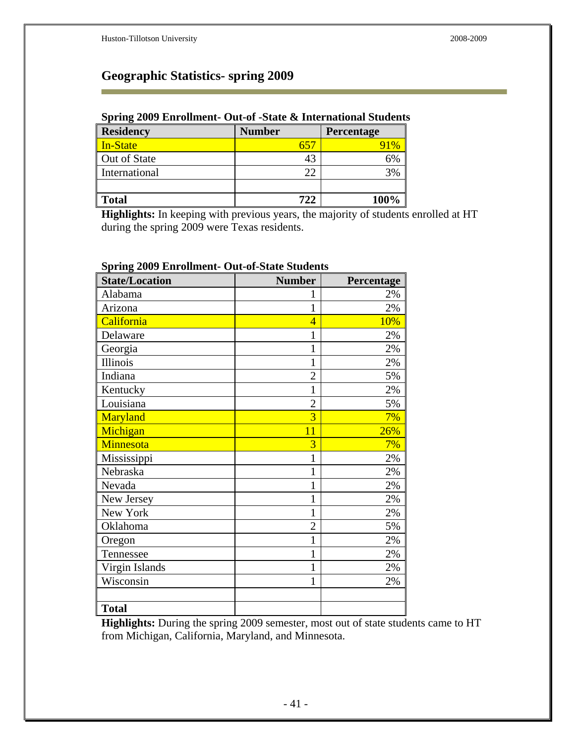### **Geographic Statistics- spring 2009**

### **Spring 2009 Enrollment- Out-of -State & International Students**

| <b>Residency</b> | <b>Number</b> | Percentage |
|------------------|---------------|------------|
| In-State         |               |            |
| Out of State     |               | 6%         |
| International    | 22            | 3%         |
|                  |               |            |
| <b>Total</b>     | 722           | 100%       |

**Highlights:** In keeping with previous years, the majority of students enrolled at HT during the spring 2009 were Texas residents.

| <b>State/Location</b> | <b>Number</b>  | Percentage |
|-----------------------|----------------|------------|
| Alabama               | 1              | 2%         |
| Arizona               | 1              | 2%         |
| California            | $\overline{4}$ | 10%        |
| Delaware              | 1              | 2%         |
| Georgia               | $\mathbf{1}$   | 2%         |
| Illinois              | $\mathbf 1$    | 2%         |
| Indiana               | $\overline{2}$ | 5%         |
| Kentucky              | 1              | 2%         |
| Louisiana             | $\overline{2}$ | 5%         |
| Maryland              | $\overline{3}$ | 7%         |
| Michigan              | 11             | 26%        |
| Minnesota             | 3              | 7%         |
| Mississippi           | 1              | 2%         |
| Nebraska              | $\overline{1}$ | 2%         |
| Nevada                | 1              | 2%         |
| New Jersey            | 1              | 2%         |
| New York              | $\overline{1}$ | 2%         |
| Oklahoma              | $\overline{2}$ | 5%         |
| Oregon                | $\mathbf 1$    | 2%         |
| Tennessee             | $\mathbf 1$    | 2%         |
| Virgin Islands        | $\overline{1}$ | 2%         |
| Wisconsin             | 1              | 2%         |
|                       |                |            |
| <b>Total</b>          |                |            |

### **Spring 2009 Enrollment- Out-of-State Students**

**Highlights:** During the spring 2009 semester, most out of state students came to HT from Michigan, California, Maryland, and Minnesota.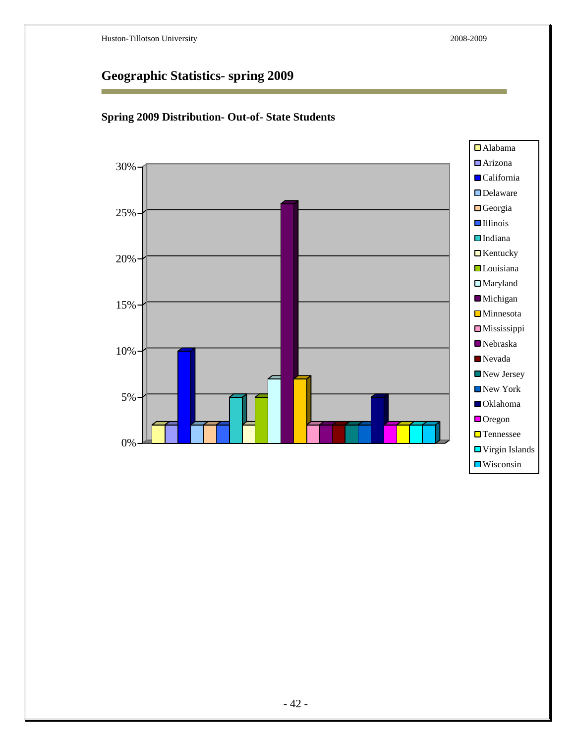# **Geographic Statistics- spring 2009**



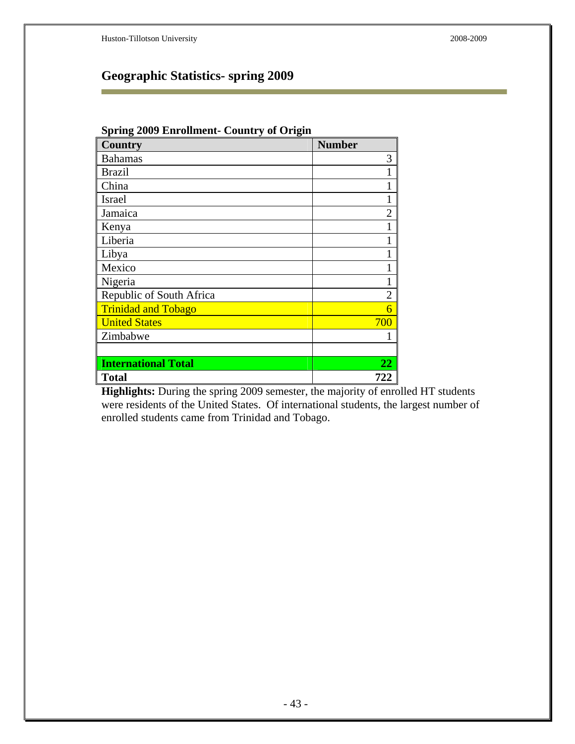Ē.

# **Geographic Statistics- spring 2009**

| <b>Spring 2009 Enrollment- Country of Origin</b> |                |  |  |  |
|--------------------------------------------------|----------------|--|--|--|
| <b>Country</b>                                   | <b>Number</b>  |  |  |  |
| <b>Bahamas</b>                                   | 3              |  |  |  |
| <b>Brazil</b>                                    |                |  |  |  |
| China                                            |                |  |  |  |
| Israel                                           |                |  |  |  |
| Jamaica                                          | $\mathfrak{D}$ |  |  |  |
| Kenya                                            |                |  |  |  |
| Liberia                                          |                |  |  |  |
| Libya                                            |                |  |  |  |
| Mexico                                           |                |  |  |  |
| Nigeria                                          |                |  |  |  |
| Republic of South Africa                         | $\overline{2}$ |  |  |  |
| <b>Trinidad and Tobago</b>                       | 6              |  |  |  |
| <b>United States</b>                             | 700            |  |  |  |
| Zimbabwe                                         |                |  |  |  |
|                                                  |                |  |  |  |
| <b>International Total</b>                       | 22             |  |  |  |
| <b>Total</b>                                     | 722            |  |  |  |

**Highlights:** During the spring 2009 semester, the majority of enrolled HT students were residents of the United States. Of international students, the largest number of enrolled students came from Trinidad and Tobago.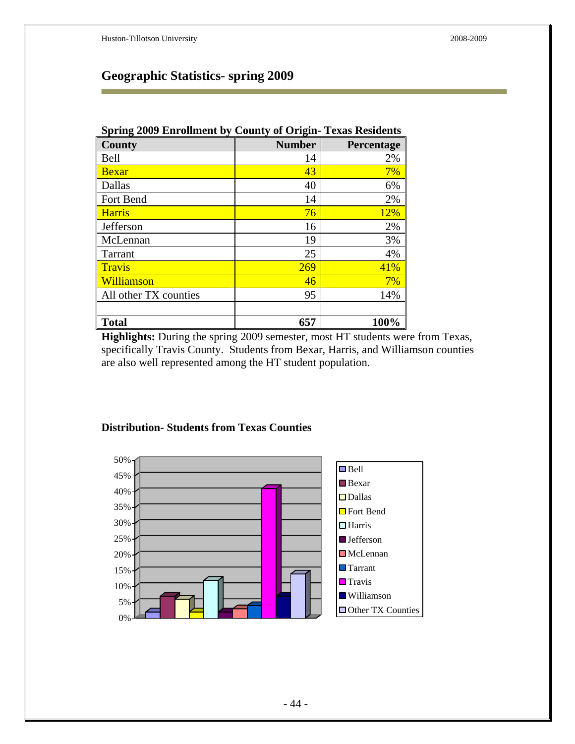### **Geographic Statistics- spring 2009**

| <b>Spring 2009 Enrollment by County of Origin- Texas Residents</b> |               |            |  |  |
|--------------------------------------------------------------------|---------------|------------|--|--|
| County                                                             | <b>Number</b> | Percentage |  |  |
| Bell                                                               | 14            | 2%         |  |  |
| <b>Bexar</b>                                                       | 43            | 7%         |  |  |
| Dallas                                                             | 40            | 6%         |  |  |
| Fort Bend                                                          | 14            | 2%         |  |  |
| <b>Harris</b>                                                      | 76            | 12%        |  |  |
| Jefferson                                                          | 16            | 2%         |  |  |
| McLennan                                                           | 19            | 3%         |  |  |
| Tarrant                                                            | 25            | 4%         |  |  |
| <b>Travis</b>                                                      | 269           | 41%        |  |  |
| Williamson                                                         | 46            | 7%         |  |  |
| All other TX counties                                              | 95            | 14%        |  |  |
|                                                                    |               |            |  |  |
| <b>Total</b>                                                       | 657           | 100%       |  |  |

Highlights: During the spring 2009 semester, most HT students were from Texas, specifically Travis County. Students from Bexar, Harris, and Williamson counties are also well represented among the HT student population.

### **Distribution- Students from Texas Counties**

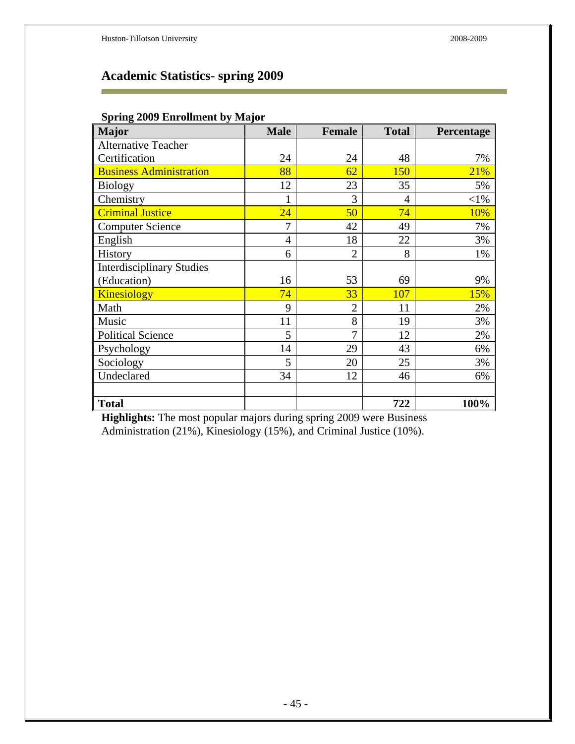÷

# **Academic Statistics- spring 2009**

### **Spring 2009 Enrollment by Major**

| <b>Major</b>                     | <b>Male</b>    | <b>Female</b>  | <b>Total</b> | Percentage |
|----------------------------------|----------------|----------------|--------------|------------|
| <b>Alternative Teacher</b>       |                |                |              |            |
| Certification                    | 24             | 24             | 48           | 7%         |
| <b>Business Administration</b>   | 88             | 62             | <b>150</b>   | <b>21%</b> |
| <b>Biology</b>                   | 12             | 23             | 35           | 5%         |
| Chemistry                        |                | 3              | 4            | $<$ l $%$  |
| <b>Criminal Justice</b>          | 24             | 50             | 74           | 10%        |
| <b>Computer Science</b>          | 7              | 42             | 49           | 7%         |
| English                          | $\overline{4}$ | 18             | 22           | 3%         |
| History                          | 6              | $\overline{2}$ | 8            | 1%         |
| <b>Interdisciplinary Studies</b> |                |                |              |            |
| (Education)                      | 16             | 53             | 69           | 9%         |
| <b>Kinesiology</b>               | 74             | 33             | 107          | 15%        |
| Math                             | 9              | $\overline{2}$ | 11           | 2%         |
| Music                            | 11             | 8              | 19           | 3%         |
| <b>Political Science</b>         | 5              | 7              | 12           | 2%         |
| Psychology                       | 14             | 29             | 43           | 6%         |
| Sociology                        | 5              | 20             | 25           | 3%         |
| Undeclared                       | 34             | 12             | 46           | 6%         |
|                                  |                |                |              |            |
| <b>Total</b>                     |                |                | 722          | 100%       |

**Highlights:** The most popular majors during spring 2009 were Business Administration (21%), Kinesiology (15%), and Criminal Justice (10%).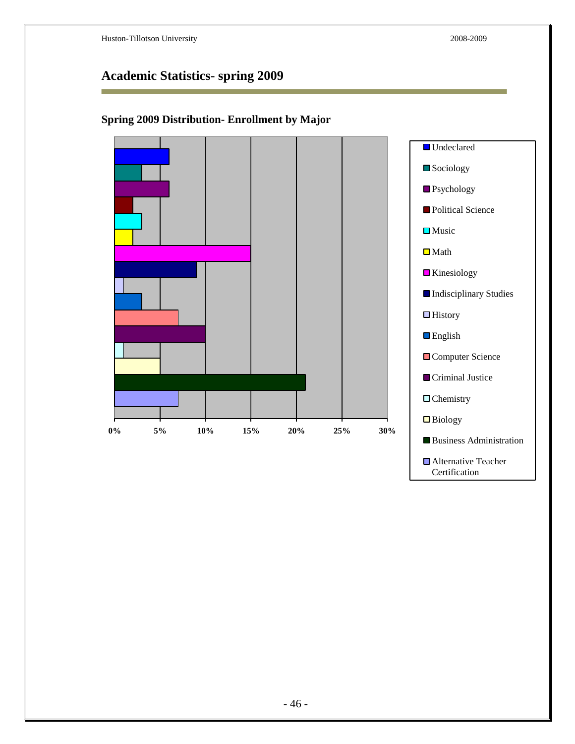F

■ Alternative Teacher Certification

# **Academic Statistics- spring 2009**



### **Spring 2009 Distribution- Enrollment by Major**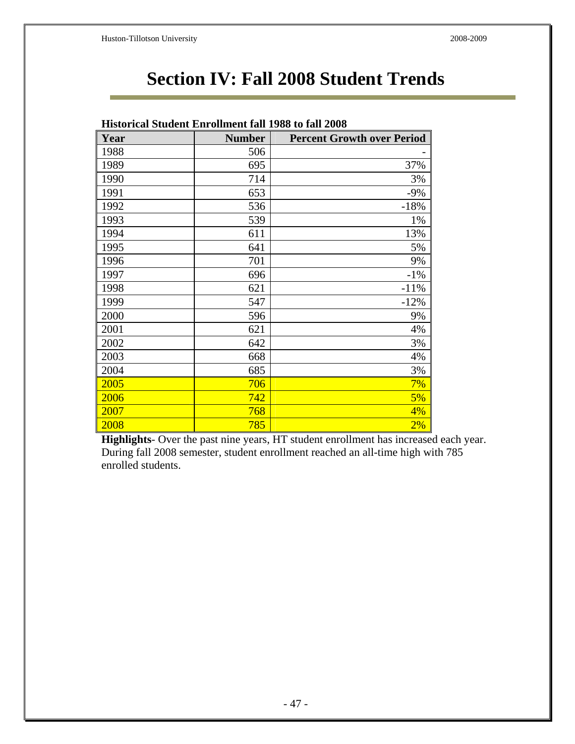# **Section IV: Fall 2008 Student Trends**

|      | <b>Historical Student Enrollment fall 1988 to fall 2008</b> |                                   |
|------|-------------------------------------------------------------|-----------------------------------|
| Year | <b>Number</b>                                               | <b>Percent Growth over Period</b> |
| 1988 | 506                                                         |                                   |
| 1989 | 695                                                         | 37%                               |
| 1990 | 714                                                         | 3%                                |
| 1991 | 653                                                         | $-9%$                             |
| 1992 | 536                                                         | $-18%$                            |
| 1993 | 539                                                         | 1%                                |
| 1994 | 611                                                         | 13%                               |
| 1995 | 641                                                         | 5%                                |
| 1996 | 701                                                         | 9%                                |
| 1997 | 696                                                         | $-1\%$                            |
| 1998 | 621                                                         | $-11%$                            |
| 1999 | 547                                                         | $-12%$                            |
| 2000 | 596                                                         | 9%                                |
| 2001 | 621                                                         | 4%                                |
| 2002 | 642                                                         | 3%                                |
| 2003 | 668                                                         | 4%                                |
| 2004 | 685                                                         | 3%                                |
| 2005 | 706                                                         | 7%                                |
| 2006 | 742                                                         | 5%                                |
| 2007 | 768                                                         | 4%                                |
| 2008 | 785                                                         | 2%                                |

**Highlights**- Over the past nine years, HT student enrollment has increased each year. During fall 2008 semester, student enrollment reached an all-time high with 785 enrolled students.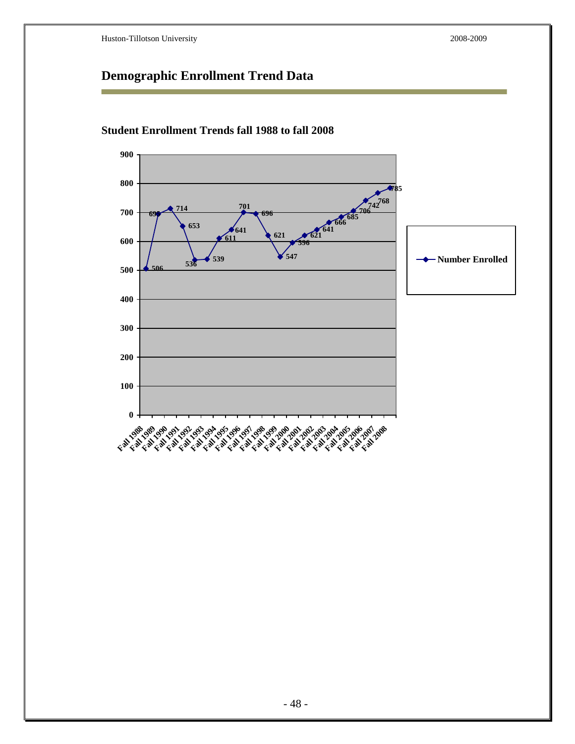# **Demographic Enrollment Trend Data**



### **Student Enrollment Trends fall 1988 to fall 2008**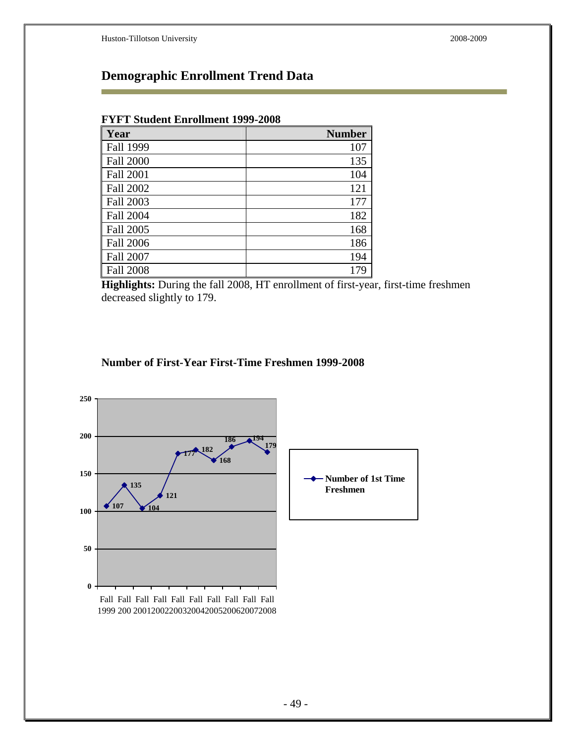Ē.

# **Demographic Enrollment Trend Data**

#### **FYFT Student Enrollment 1999-2008**

| Year             | <b>Number</b> |
|------------------|---------------|
| Fall 1999        | 107           |
| <b>Fall 2000</b> | 135           |
| Fall 2001        | 104           |
| Fall 2002        | 121           |
| Fall 2003        | 177           |
| <b>Fall 2004</b> | 182           |
| <b>Fall 2005</b> | 168           |
| <b>Fall 2006</b> | 186           |
| <b>Fall 2007</b> | 194           |
| <b>Fall 2008</b> | 179           |

**Highlights:** During the fall 2008, HT enrollment of first-year, first-time freshmen decreased slightly to 179.

### **Number of First-Year First-Time Freshmen 1999-2008**

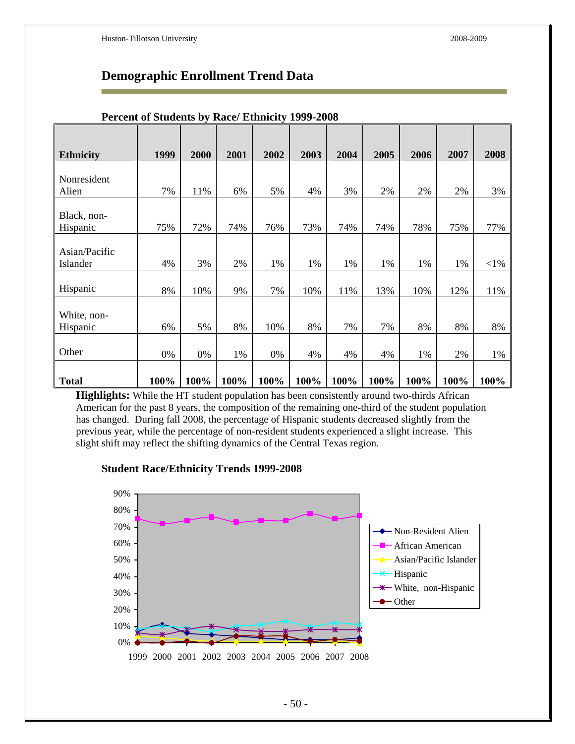### **Demographic Enrollment Trend Data**

| <b>Ethnicity</b>          | 1999 | 2000 | 2001 | 2002 | 2003 | 2004 | 2005 | 2006 | 2007 | 2008   |
|---------------------------|------|------|------|------|------|------|------|------|------|--------|
|                           |      |      |      |      |      |      |      |      |      |        |
| Nonresident               |      |      |      |      |      |      |      |      |      |        |
| Alien                     | 7%   | 11%  | 6%   | 5%   | 4%   | 3%   | 2%   | 2%   | 2%   | 3%     |
| Black, non-<br>Hispanic   | 75%  | 72%  | 74%  | 76%  | 73%  | 74%  | 74%  | 78%  | 75%  | 77%    |
| Asian/Pacific<br>Islander | 4%   | 3%   | 2%   | 1%   | 1%   | 1%   | 1%   | 1%   | 1%   | $<$ 1% |
| Hispanic                  | 8%   | 10%  | 9%   | 7%   | 10%  | 11%  | 13%  | 10%  | 12%  | 11%    |
| White, non-<br>Hispanic   | 6%   | 5%   | 8%   | 10%  | 8%   | 7%   | 7%   | 8%   | 8%   | 8%     |
| Other                     | 0%   | 0%   | 1%   | 0%   | 4%   | 4%   | 4%   | 1%   | 2%   | 1%     |
| <b>Total</b>              | 100% | 100% | 100% | 100% | 100% | 100% | 100% | 100% | 100% | 100%   |

#### **Percent of Students by Race/ Ethnicity 1999-2008**

**Highlights:** While the HT student population has been consistently around two-thirds African American for the past 8 years, the composition of the remaining one-third of the student population has changed. During fall 2008, the percentage of Hispanic students decreased slightly from the previous year, while the percentage of non-resident students experienced a slight increase. This slight shift may reflect the shifting dynamics of the Central Texas region.



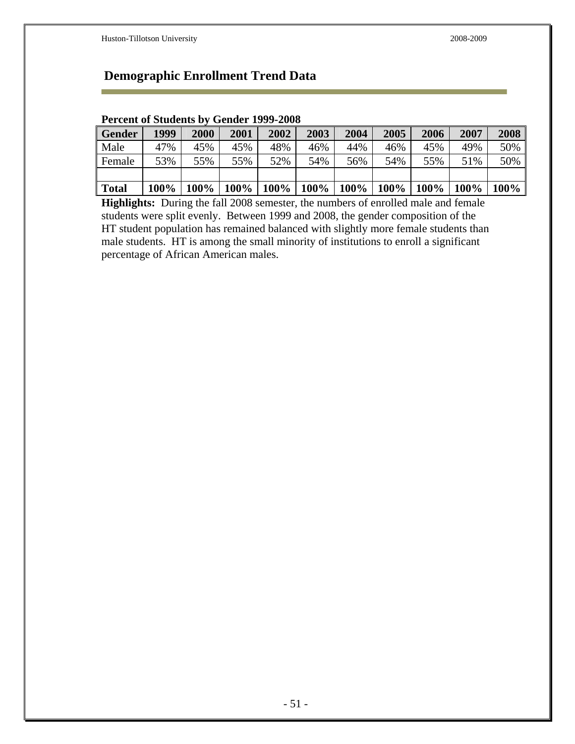### **Demographic Enrollment Trend Data**

| Percent of Students by Gender 1999-2008 |      |      |                             |      |      |                             |      |      |                   |          |
|-----------------------------------------|------|------|-----------------------------|------|------|-----------------------------|------|------|-------------------|----------|
| <b>Gender</b>                           | 1999 | 2000 | 2001                        | 2002 | 2003 | 2004                        | 2005 | 2006 | 2007              | 2008     |
| Male                                    | 47%  | 45%  | 45%                         | 48%  | 46%  | 44%                         | 46%  | 45%  | 49%               | 50%      |
| Female                                  | 53%  | 55%  | 55%                         | 52%  | 54%  | 56%                         | 54%  | 55%  | 51%               | 50%      |
|                                         |      |      |                             |      |      |                             |      |      |                   |          |
| <b>Total</b>                            | 100% |      | $100\%$   $100\%$   $100\%$ |      |      | $100\%$   $100\%$   $100\%$ |      |      | $100\%$   $100\%$ | 100% $ $ |

### **Percent of Students by Gender 1999-2008**

**Highlights:** During the fall 2008 semester, the numbers of enrolled male and female students were split evenly. Between 1999 and 2008, the gender composition of the HT student population has remained balanced with slightly more female students than male students. HT is among the small minority of institutions to enroll a significant percentage of African American males.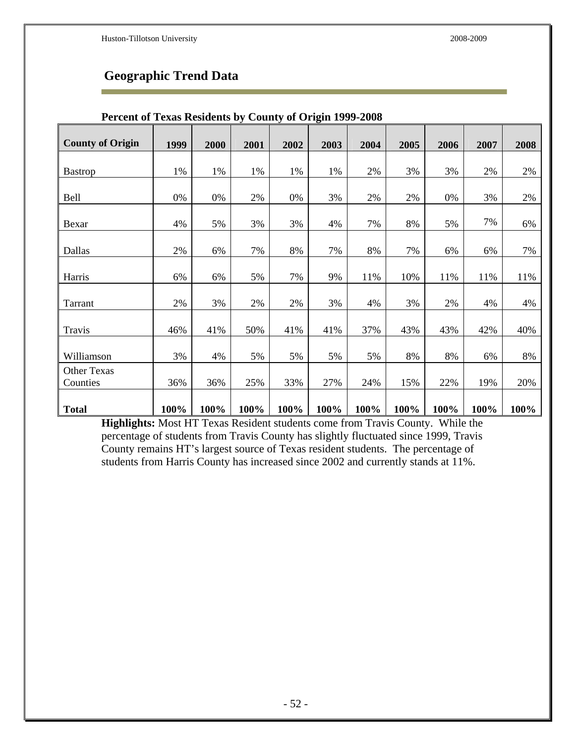# **Geographic Trend Data**

| <b>County of Origin</b> | 1999 | 2000 | 2001 | 2002  | 2003 | 2004 | 2005 | 2006 | 2007 | 2008  |
|-------------------------|------|------|------|-------|------|------|------|------|------|-------|
|                         |      |      |      |       |      |      |      |      |      |       |
| <b>Bastrop</b>          | 1%   | 1%   | 1%   | 1%    | 1%   | 2%   | 3%   | 3%   | 2%   | 2%    |
|                         |      |      |      |       |      |      |      |      |      |       |
| <b>Bell</b>             | 0%   | 0%   | 2%   | $0\%$ | 3%   | 2%   | 2%   | 0%   | 3%   | $2\%$ |
|                         |      |      |      |       |      |      |      |      |      |       |
| Bexar                   | 4%   | 5%   | 3%   | 3%    | 4%   | 7%   | 8%   | 5%   | 7%   | 6%    |
|                         |      |      |      |       |      |      |      |      |      |       |
| Dallas                  | 2%   | 6%   | 7%   | 8%    | 7%   | 8%   | 7%   | 6%   | 6%   | 7%    |
|                         |      |      |      |       |      |      |      |      |      |       |
| Harris                  | 6%   | 6%   | 5%   | 7%    | 9%   | 11%  | 10%  | 11%  | 11%  | 11%   |
|                         |      |      |      |       |      |      |      |      |      |       |
| Tarrant                 | 2%   | 3%   | 2%   | 2%    | 3%   | 4%   | 3%   | 2%   | 4%   | 4%    |
|                         |      |      |      |       |      |      |      |      |      |       |
| Travis                  | 46%  | 41%  | 50%  | 41%   | 41%  | 37%  | 43%  | 43%  | 42%  | 40%   |
|                         |      |      |      |       |      |      |      |      |      |       |
| Williamson              | 3%   | 4%   | 5%   | 5%    | 5%   | 5%   | 8%   | 8%   | 6%   | 8%    |
| <b>Other Texas</b>      |      |      |      |       |      |      |      |      |      |       |
| Counties                | 36%  | 36%  | 25%  | 33%   | 27%  | 24%  | 15%  | 22%  | 19%  | 20%   |
|                         |      |      |      |       |      |      |      |      |      |       |
| <b>Total</b>            | 100% | 100% | 100% | 100%  | 100% | 100% | 100% | 100% | 100% | 100%  |

#### **Percent of Texas Residents by County of Origin 1999-2008**

**Highlights:** Most HT Texas Resident students come from Travis County. While the percentage of students from Travis County has slightly fluctuated since 1999, Travis County remains HT's largest source of Texas resident students. The percentage of students from Harris County has increased since 2002 and currently stands at 11%.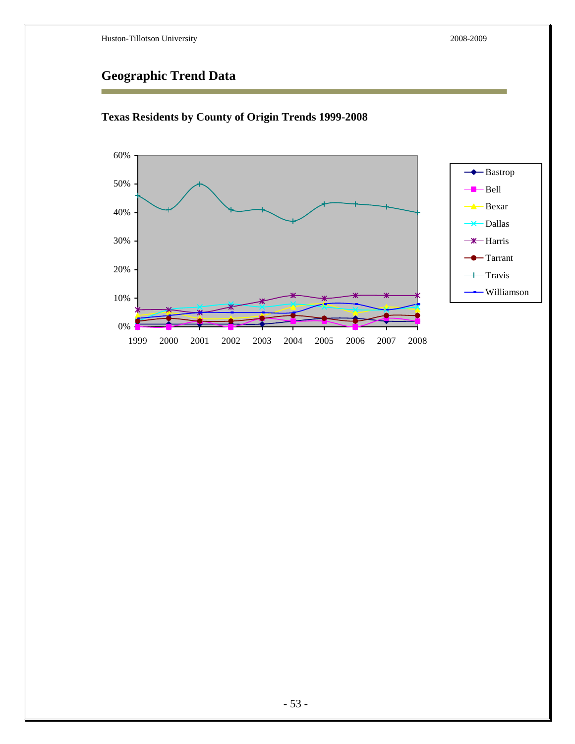# **Geographic Trend Data**



### **Texas Residents by County of Origin Trends 1999-2008**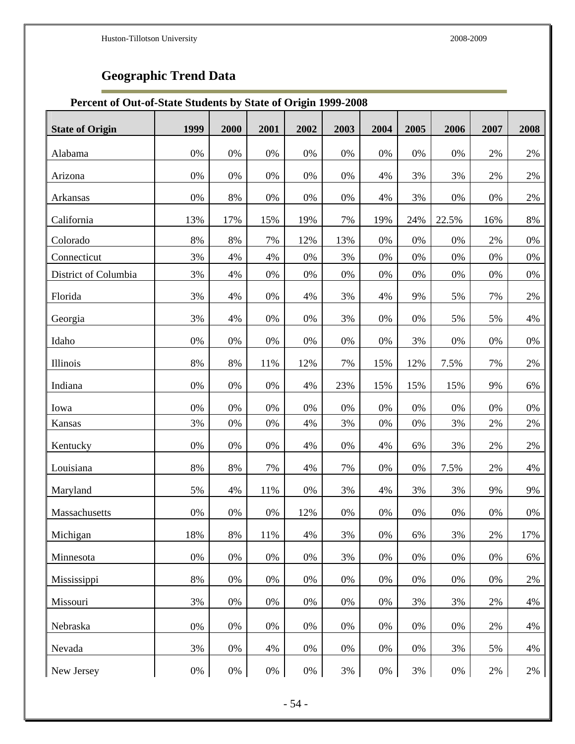÷

# **Geographic Trend Data**

### **Percent of Out-of-State Students by State of Origin 1999-2008**

| <b>State of Origin</b> | 1999  | 2000  | 2001  | 2002  | 2003  | 2004 | 2005  | 2006  | 2007 | 2008  |
|------------------------|-------|-------|-------|-------|-------|------|-------|-------|------|-------|
| Alabama                | 0%    | $0\%$ | 0%    | 0%    | 0%    | 0%   | 0%    | $0\%$ | 2%   | 2%    |
| Arizona                | 0%    | 0%    | $0\%$ | $0\%$ | $0\%$ | 4%   | 3%    | 3%    | 2%   | 2%    |
| Arkansas               | 0%    | 8%    | 0%    | $0\%$ | 0%    | 4%   | 3%    | $0\%$ | 0%   | 2%    |
| California             | 13%   | 17%   | 15%   | 19%   | 7%    | 19%  | 24%   | 22.5% | 16%  | 8%    |
| Colorado               | 8%    | 8%    | 7%    | 12%   | 13%   | 0%   | 0%    | $0\%$ | 2%   | 0%    |
| Connecticut            | 3%    | 4%    | 4%    | 0%    | 3%    | 0%   | 0%    | 0%    | 0%   | 0%    |
| District of Columbia   | 3%    | 4%    | 0%    | 0%    | 0%    | 0%   | 0%    | $0\%$ | 0%   | 0%    |
| Florida                | 3%    | 4%    | $0\%$ | 4%    | 3%    | 4%   | 9%    | 5%    | 7%   | $2\%$ |
| Georgia                | 3%    | 4%    | 0%    | $0\%$ | 3%    | 0%   | 0%    | 5%    | 5%   | 4%    |
| Idaho                  | 0%    | $0\%$ | 0%    | $0\%$ | 0%    | 0%   | 3%    | $0\%$ | 0%   | 0%    |
| Illinois               | 8%    | 8%    | 11%   | 12%   | 7%    | 15%  | 12%   | 7.5%  | 7%   | $2\%$ |
| Indiana                | 0%    | 0%    | 0%    | 4%    | 23%   | 15%  | 15%   | 15%   | 9%   | 6%    |
| Iowa                   | 0%    | 0%    | 0%    | 0%    | 0%    | 0%   | 0%    | $0\%$ | 0%   | 0%    |
| Kansas                 | 3%    | 0%    | $0\%$ | 4%    | 3%    | 0%   | $0\%$ | 3%    | 2%   | $2\%$ |
| Kentucky               | 0%    | 0%    | $0\%$ | 4%    | 0%    | 4%   | 6%    | 3%    | 2%   | 2%    |
| Louisiana              | 8%    | 8%    | 7%    | 4%    | 7%    | 0%   | $0\%$ | 7.5%  | 2%   | 4%    |
| Maryland               | 5%    | 4%    | 11%   | 0%    | 3%    | 4%   | 3%    | 3%    | 9%   | 9%    |
| Massachusetts          | 0%    | 0%    | 0%    | 12%   | 0%    | 0%   | 0%    | $0\%$ | 0%   | 0%    |
| Michigan               | 18%   | 8%    | 11%   | 4%    | 3%    | 0%   | 6%    | 3%    | 2%   | 17%   |
| Minnesota              | 0%    | 0%    | 0%    | 0%    | 3%    | 0%   | 0%    | 0%    | 0%   | 6%    |
| Mississippi            | 8%    | 0%    | 0%    | 0%    | 0%    | 0%   | 0%    | 0%    | 0%   | 2%    |
| Missouri               | 3%    | 0%    | 0%    | 0%    | 0%    | 0%   | 3%    | 3%    | 2%   | 4%    |
| Nebraska               | 0%    | 0%    | 0%    | 0%    | 0%    | 0%   | 0%    | 0%    | 2%   | 4%    |
| Nevada                 | 3%    | 0%    | 4%    | 0%    | 0%    | 0%   | 0%    | 3%    | 5%   | 4%    |
| New Jersey             | $0\%$ | 0%    | 0%    | $0\%$ | 3%    | 0%   | 3%    | 0%    | 2%   | 2%    |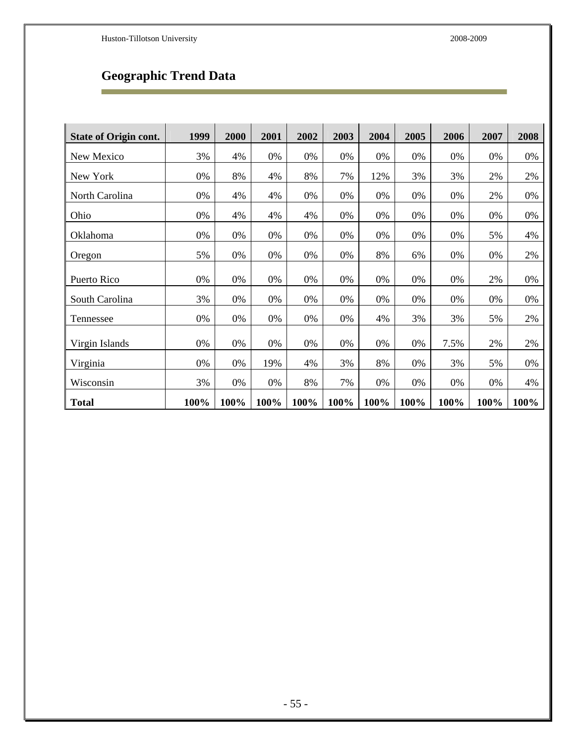Ē

# **Geographic Trend Data**

| <b>State of Origin cont.</b> | 1999 | 2000 | 2001 | 2002 | 2003 | 2004 | 2005 | 2006 | 2007 | 2008 |
|------------------------------|------|------|------|------|------|------|------|------|------|------|
| New Mexico                   | 3%   | 4%   | 0%   | 0%   | 0%   | 0%   | 0%   | 0%   | 0%   | 0%   |
| New York                     | 0%   | 8%   | 4%   | 8%   | 7%   | 12%  | 3%   | 3%   | 2%   | 2%   |
| North Carolina               | 0%   | 4%   | 4%   | 0%   | 0%   | 0%   | 0%   | 0%   | 2%   | 0%   |
| Ohio                         | 0%   | 4%   | 4%   | 4%   | 0%   | 0%   | 0%   | 0%   | 0%   | 0%   |
| Oklahoma                     | 0%   | 0%   | 0%   | 0%   | 0%   | 0%   | 0%   | 0%   | 5%   | 4%   |
| Oregon                       | 5%   | 0%   | 0%   | 0%   | 0%   | 8%   | 6%   | 0%   | 0%   | 2%   |
|                              |      |      |      |      |      |      |      |      |      |      |
| Puerto Rico                  | 0%   | 0%   | 0%   | 0%   | 0%   | 0%   | 0%   | 0%   | 2%   | 0%   |
| South Carolina               | 3%   | 0%   | 0%   | 0%   | 0%   | 0%   | 0%   | 0%   | 0%   | 0%   |
| Tennessee                    | 0%   | 0%   | 0%   | 0%   | 0%   | 4%   | 3%   | 3%   | 5%   | 2%   |
|                              |      |      |      |      |      |      |      |      |      |      |
| Virgin Islands               | 0%   | 0%   | 0%   | 0%   | 0%   | 0%   | 0%   | 7.5% | 2%   | 2%   |
| Virginia                     | 0%   | 0%   | 19%  | 4%   | 3%   | 8%   | 0%   | 3%   | 5%   | 0%   |
| Wisconsin                    | 3%   | 0%   | 0%   | 8%   | 7%   | 0%   | 0%   | 0%   | 0%   | 4%   |
| <b>Total</b>                 | 100% | 100% | 100% | 100% | 100% | 100% | 100% | 100% | 100% | 100% |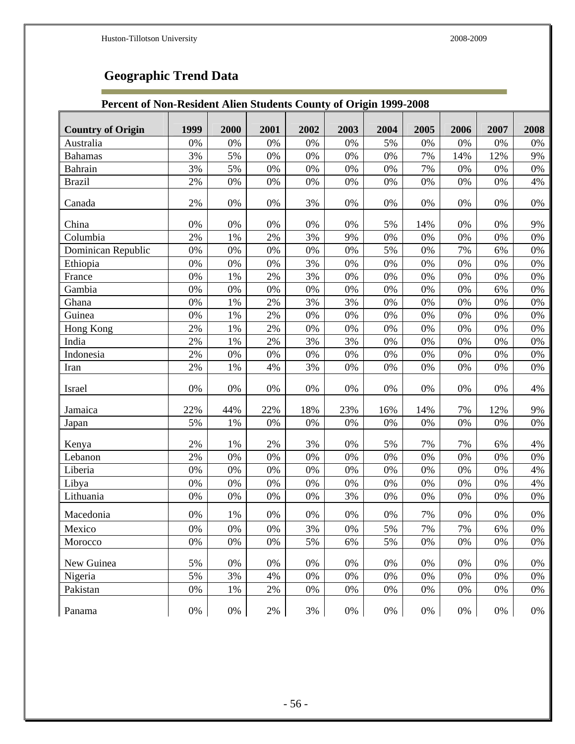F

# **Geographic Trend Data**

### **Percent of Non-Resident Alien Students County of Origin 1999-2008**

| <b>Country of Origin</b> | 1999  | 2000  | 2001  | 2002 | 2003  | 2004 | 2005 | 2006  | 2007  | 2008 |
|--------------------------|-------|-------|-------|------|-------|------|------|-------|-------|------|
| Australia                | 0%    | 0%    | 0%    | 0%   | 0%    | 5%   | 0%   | 0%    | 0%    | 0%   |
| <b>Bahamas</b>           | 3%    | 5%    | 0%    | 0%   | 0%    | 0%   | 7%   | 14%   | 12%   | 9%   |
| Bahrain                  | 3%    | 5%    | 0%    | 0%   | 0%    | 0%   | 7%   | 0%    | 0%    | 0%   |
| <b>Brazil</b>            | 2%    | 0%    | 0%    | 0%   | 0%    | 0%   | 0%   | 0%    | 0%    | 4%   |
|                          |       |       |       |      |       |      |      |       |       |      |
| Canada                   | 2%    | 0%    | 0%    | 3%   | 0%    | 0%   | 0%   | 0%    | 0%    | 0%   |
| China                    | 0%    | 0%    | 0%    | 0%   | 0%    | 5%   | 14%  | 0%    | 0%    | 9%   |
| Columbia                 | 2%    | 1%    | 2%    | 3%   | 9%    | 0%   | 0%   | 0%    | 0%    | 0%   |
| Dominican Republic       | 0%    | 0%    | 0%    | 0%   | 0%    | 5%   | 0%   | 7%    | 6%    | 0%   |
| Ethiopia                 | 0%    | 0%    | 0%    | 3%   | 0%    | 0%   | 0%   | 0%    | 0%    | 0%   |
| France                   | 0%    | 1%    | 2%    | 3%   | 0%    | 0%   | 0%   | 0%    | 0%    | 0%   |
| Gambia                   | 0%    | 0%    | 0%    | 0%   | 0%    | 0%   | 0%   | 0%    | 6%    | 0%   |
| Ghana                    | 0%    | 1%    | 2%    | 3%   | 3%    | 0%   | 0%   | 0%    | 0%    | 0%   |
| Guinea                   | 0%    | 1%    | 2%    | 0%   | 0%    | 0%   | 0%   | 0%    | 0%    | 0%   |
| Hong Kong                | 2%    | 1%    | 2%    | 0%   | 0%    | 0%   | 0%   | 0%    | 0%    | 0%   |
| India                    | 2%    | 1%    | 2%    | 3%   | 3%    | 0%   | 0%   | 0%    | 0%    | 0%   |
| Indonesia                | 2%    | 0%    | 0%    | 0%   | 0%    | 0%   | 0%   | 0%    | 0%    | 0%   |
| Iran                     | 2%    | 1%    | 4%    | 3%   | 0%    | 0%   | 0%   | 0%    | 0%    | 0%   |
| Israel                   | 0%    | 0%    | 0%    | 0%   | 0%    | 0%   | 0%   | 0%    | 0%    | 4%   |
| Jamaica                  | 22%   | 44%   | 22%   | 18%  | 23%   | 16%  | 14%  | 7%    | 12%   | 9%   |
| Japan                    | 5%    | 1%    | 0%    | 0%   | 0%    | 0%   | 0%   | 0%    | 0%    | 0%   |
| Kenya                    | 2%    | $1\%$ | $2\%$ | 3%   | 0%    | 5%   | 7%   | 7%    | 6%    | 4%   |
| Lebanon                  | 2%    | 0%    | 0%    | 0%   | 0%    | 0%   | 0%   | 0%    | 0%    | 0%   |
| Liberia                  | 0%    | 0%    | 0%    | 0%   | 0%    | 0%   | 0%   | 0%    | 0%    | 4%   |
| Libya                    | 0%    | 0%    | 0%    | 0%   | 0%    | 0%   | 0%   | 0%    | 0%    | 4%   |
| Lithuania                | 0%    | 0%    | 0%    | 0%   | 3%    | 0%   | 0%   | 0%    | 0%    | 0%   |
| Macedonia                | 0%    | 1%    | 0%    | 0%   | 0%    | 0%   | 7%   | 0%    | 0%    | 0%   |
| Mexico                   | 0%    | 0%    | 0%    | 3%   | 0%    | 5%   | 7%   | 7%    | 6%    | 0%   |
| Morocco                  | 0%    | 0%    | 0%    | 5%   | 6%    | 5%   | 0%   | 0%    | 0%    | 0%   |
| New Guinea               | 5%    | 0%    | 0%    | 0%   | 0%    | 0%   | 0%   | 0%    | 0%    | 0%   |
| Nigeria                  | 5%    | 3%    | 4%    | 0%   | 0%    | 0%   | 0%   | 0%    | 0%    | 0%   |
| Pakistan                 | 0%    | 1%    | 2%    | 0%   | 0%    | 0%   | 0%   | 0%    | $0\%$ | 0%   |
|                          |       |       |       |      |       |      |      |       |       |      |
| Panama                   | $0\%$ | 0%    | $2\%$ | 3%   | $0\%$ | 0%   | 0%   | $0\%$ | 0%    | 0%   |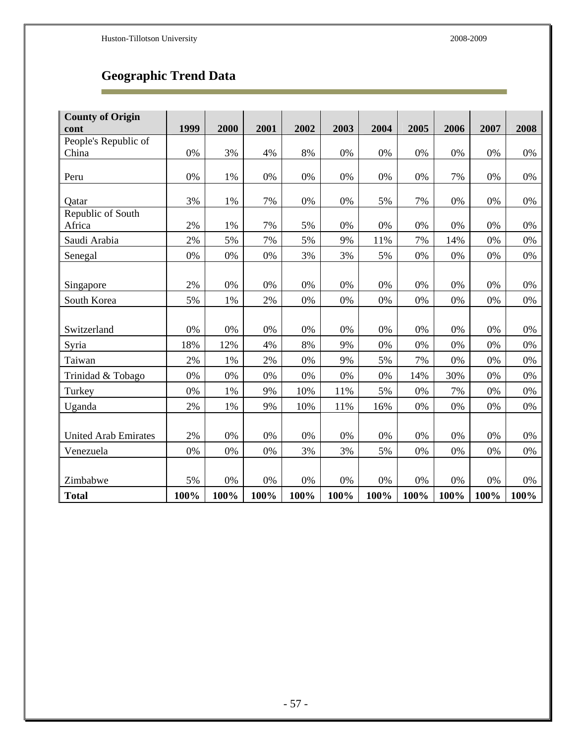Ē

# **Geographic Trend Data**

| <b>County of Origin</b>     |      |       |       |      |       |       |      |       |      |       |
|-----------------------------|------|-------|-------|------|-------|-------|------|-------|------|-------|
| cont                        | 1999 | 2000  | 2001  | 2002 | 2003  | 2004  | 2005 | 2006  | 2007 | 2008  |
| People's Republic of        |      |       |       |      |       |       |      |       |      |       |
| China                       | 0%   | 3%    | 4%    | 8%   | 0%    | $0\%$ | 0%   | 0%    | 0%   | 0%    |
|                             |      |       |       |      |       |       |      |       |      |       |
| Peru                        | 0%   | 1%    | 0%    | 0%   | 0%    | 0%    | 0%   | 7%    | 0%   | 0%    |
| Qatar                       | 3%   | $1\%$ | 7%    | 0%   | 0%    | 5%    | 7%   | 0%    | 0%   | 0%    |
| Republic of South           |      |       |       |      |       |       |      |       |      |       |
| Africa                      | 2%   | 1%    | 7%    | 5%   | 0%    | 0%    | 0%   | 0%    | 0%   | 0%    |
| Saudi Arabia                | 2%   | 5%    | 7%    | 5%   | 9%    | 11%   | 7%   | 14%   | 0%   | 0%    |
| Senegal                     | 0%   | 0%    | 0%    | 3%   | 3%    | 5%    | 0%   | 0%    | 0%   | 0%    |
|                             |      |       |       |      |       |       |      |       |      |       |
| Singapore                   | 2%   | 0%    | 0%    | 0%   | 0%    | 0%    | 0%   | 0%    | 0%   | 0%    |
| South Korea                 | 5%   | 1%    | 2%    | 0%   | 0%    | 0%    | 0%   | 0%    | 0%   | 0%    |
|                             |      |       |       |      |       |       |      |       |      |       |
| Switzerland                 | 0%   | 0%    | 0%    | 0%   | 0%    | 0%    | 0%   | 0%    | 0%   | 0%    |
| Syria                       | 18%  | 12%   | 4%    | 8%   | 9%    | 0%    | 0%   | 0%    | 0%   | 0%    |
| Taiwan                      | 2%   | 1%    | 2%    | 0%   | 9%    | 5%    | 7%   | 0%    | 0%   | 0%    |
| Trinidad & Tobago           | 0%   | 0%    | 0%    | 0%   | 0%    | 0%    | 14%  | 30%   | 0%   | 0%    |
| Turkey                      | 0%   | 1%    | 9%    | 10%  | 11%   | 5%    | 0%   | 7%    | 0%   | 0%    |
| Uganda                      | 2%   | 1%    | 9%    | 10%  | 11%   | 16%   | 0%   | 0%    | 0%   | 0%    |
|                             |      |       |       |      |       |       |      |       |      |       |
| <b>United Arab Emirates</b> | 2%   | 0%    | 0%    | 0%   | 0%    | 0%    | 0%   | 0%    | 0%   | 0%    |
| Venezuela                   | 0%   | 0%    | 0%    | 3%   | 3%    | 5%    | 0%   | 0%    | 0%   | 0%    |
|                             |      |       |       |      |       |       |      |       |      |       |
| Zimbabwe                    | 5%   | $0\%$ | $0\%$ | 0%   | $0\%$ | $0\%$ | 0%   | $0\%$ | 0%   | $0\%$ |
| <b>Total</b>                | 100% | 100%  | 100%  | 100% | 100%  | 100%  | 100% | 100%  | 100% | 100%  |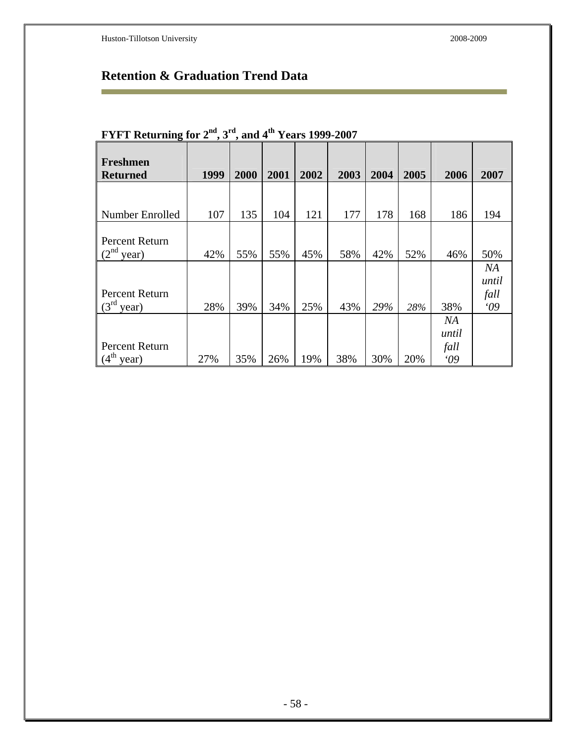r.

# **Retention & Graduation Trend Data**

| o                                  |      |      |      |      |      |      |      |                           |                           |
|------------------------------------|------|------|------|------|------|------|------|---------------------------|---------------------------|
| <b>Freshmen</b><br><b>Returned</b> | 1999 | 2000 | 2001 | 2002 | 2003 | 2004 | 2005 | 2006                      | 2007                      |
|                                    |      |      |      |      |      |      |      |                           |                           |
| Number Enrolled                    | 107  | 135  | 104  | 121  | 177  | 178  | 168  | 186                       | 194                       |
| Percent Return<br>$(2nd$ year)     | 42%  | 55%  | 55%  | 45%  | 58%  | 42%  | 52%  | 46%                       | 50%                       |
| Percent Return<br>$(3rd$ year)     | 28%  | 39%  | 34%  | 25%  | 43%  | 29%  | 28%  | 38%                       | NA<br>until<br>fall<br>09 |
| Percent Return<br>$(4th$ year)     | 27%  | 35%  | 26%  | 19%  | 38%  | 30%  | 20%  | NA<br>until<br>fall<br>09 |                           |

# **FYFT Returning for 2nd, 3rd, and 4th Years 1999-2007**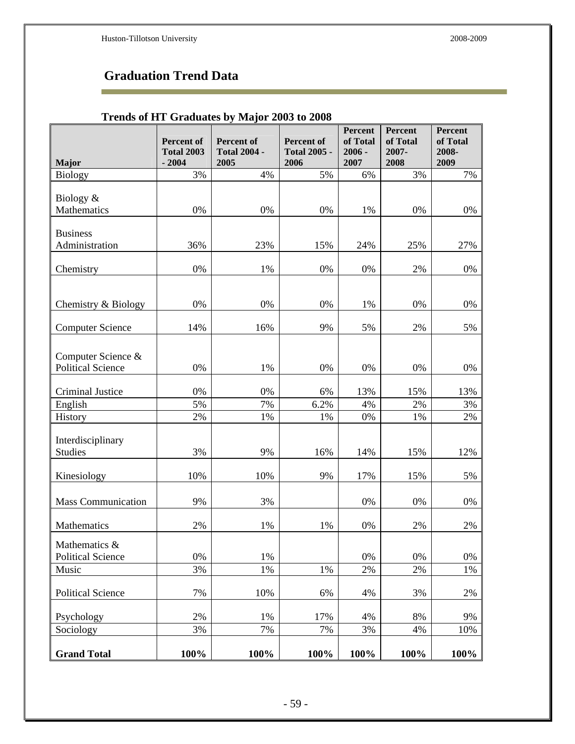÷

# **Graduation Trend Data**

### **Trends of HT Graduates by Major 2003 to 2008**

|                                                | Percent of<br><b>Total 2003</b> | Percent of<br><b>Total 2004 -</b> | Percent of<br><b>Total 2005 -</b> | Percent<br>of Total<br>$2006 -$ | Percent<br>of Total<br>2007- | Percent<br>of Total<br>2008- |
|------------------------------------------------|---------------------------------|-----------------------------------|-----------------------------------|---------------------------------|------------------------------|------------------------------|
| <b>Major</b><br><b>Biology</b>                 | $-2004$<br>3%                   | 2005<br>4%                        | 2006<br>5%                        | 2007<br>6%                      | 2008<br>3%                   | 2009<br>7%                   |
|                                                |                                 |                                   |                                   |                                 |                              |                              |
| Biology &                                      |                                 |                                   |                                   |                                 |                              |                              |
| Mathematics                                    | 0%                              | 0%                                | 0%                                | 1%                              | 0%                           | 0%                           |
| <b>Business</b>                                |                                 |                                   |                                   |                                 |                              |                              |
| Administration                                 | 36%                             | 23%                               | 15%                               | 24%                             | 25%                          | 27%                          |
|                                                |                                 |                                   |                                   |                                 |                              |                              |
| Chemistry                                      | 0%                              | 1%                                | 0%                                | 0%                              | 2%                           | 0%                           |
|                                                |                                 |                                   |                                   |                                 |                              |                              |
| Chemistry & Biology                            | 0%                              | 0%                                | 0%                                | 1%                              | 0%                           | 0%                           |
|                                                |                                 |                                   |                                   |                                 |                              |                              |
| <b>Computer Science</b>                        | 14%                             | 16%                               | 9%                                | 5%                              | 2%                           | 5%                           |
|                                                |                                 |                                   |                                   |                                 |                              |                              |
| Computer Science &<br><b>Political Science</b> | 0%                              | 1%                                | 0%                                | 0%                              | 0%                           | 0%                           |
|                                                |                                 |                                   |                                   |                                 |                              |                              |
| <b>Criminal Justice</b>                        | 0%                              | 0%                                | 6%                                | 13%                             | 15%                          | 13%                          |
| English                                        | 5%                              | 7%                                | 6.2%                              | 4%                              | 2%                           | 3%                           |
| History                                        | 2%                              | 1%                                | 1%                                | 0%                              | 1%                           | 2%                           |
| Interdisciplinary                              |                                 |                                   |                                   |                                 |                              |                              |
| <b>Studies</b>                                 | 3%                              | 9%                                | 16%                               | 14%                             | 15%                          | 12%                          |
|                                                |                                 |                                   |                                   |                                 |                              |                              |
| Kinesiology                                    | 10%                             | 10%                               | 9%                                | 17%                             | 15%                          | 5%                           |
|                                                |                                 |                                   |                                   |                                 |                              |                              |
| <b>Mass Communication</b>                      | 9%                              | 3%                                |                                   | 0%                              | 0%                           | 0%                           |
| Mathematics                                    | 2%                              | 1%                                | 1%                                | 0%                              | 2%                           | 2%                           |
| Mathematics &                                  |                                 |                                   |                                   |                                 |                              |                              |
| <b>Political Science</b>                       | 0%                              | 1%                                |                                   | 0%                              | 0%                           | $0\%$                        |
| Music                                          | 3%                              | 1%                                | 1%                                | 2%                              | 2%                           | 1%                           |
|                                                |                                 |                                   |                                   |                                 |                              |                              |
| <b>Political Science</b>                       | 7%                              | 10%                               | 6%                                | 4%                              | 3%                           | 2%                           |
| Psychology                                     | 2%                              | 1%                                | 17%                               | 4%                              | 8%                           | 9%                           |
| Sociology                                      | 3%                              | 7%                                | 7%                                | 3%                              | 4%                           | 10%                          |
|                                                |                                 |                                   |                                   |                                 |                              |                              |
| <b>Grand Total</b>                             | 100%                            | 100%                              | 100%                              | 100%                            | 100%                         | 100%                         |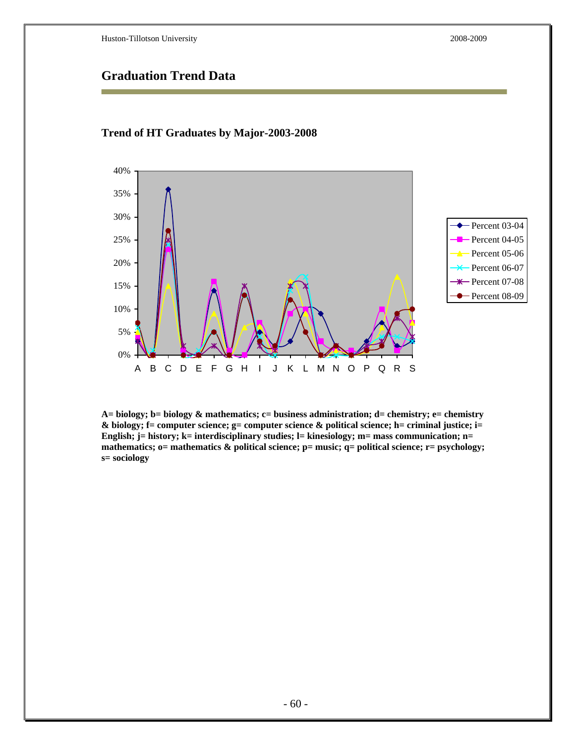### **Graduation Trend Data**



#### **Trend of HT Graduates by Major-2003-2008**

**A= biology; b= biology & mathematics; c= business administration; d= chemistry; e= chemistry & biology; f= computer science; g= computer science & political science; h= criminal justice; i=**  English; j= history; k= interdisciplinary studies; l= kinesiology; m= mass communication; n= **mathematics; o= mathematics & political science; p= music; q= political science; r= psychology; s= sociology**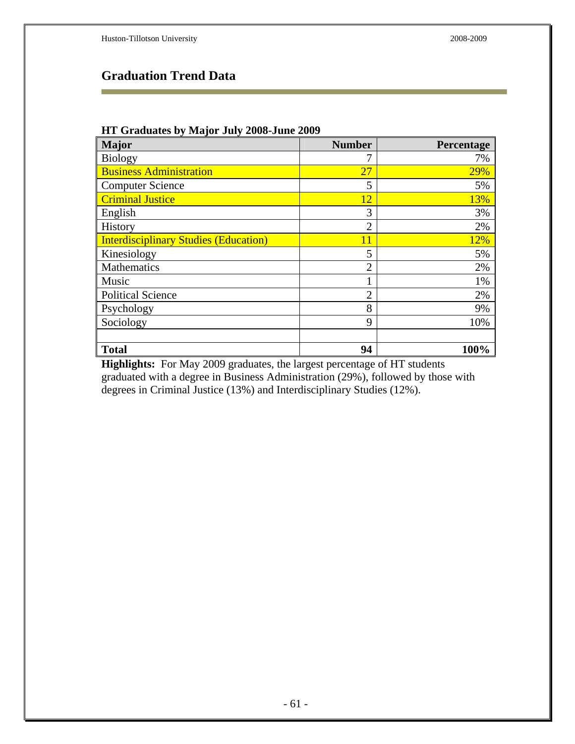Ē.

# **Graduation Trend Data**

#### **HT Graduates by Major July 2008-June 2009**

| <b>Major</b>                                 | <b>Number</b>  | Percentage |
|----------------------------------------------|----------------|------------|
| <b>Biology</b>                               |                | 7%         |
| <b>Business Administration</b>               | 27             | 29%        |
| <b>Computer Science</b>                      | 5              | 5%         |
| <b>Criminal Justice</b>                      | 12             | 13%        |
| English                                      | 3              | 3%         |
| History                                      | $\overline{2}$ | 2%         |
| <b>Interdisciplinary Studies (Education)</b> | 11             | 12%        |
| Kinesiology                                  | 5              | 5%         |
| Mathematics                                  | $\overline{2}$ | 2%         |
| Music                                        |                | 1%         |
| <b>Political Science</b>                     | $\overline{2}$ | 2%         |
| Psychology                                   | 8              | 9%         |
| Sociology                                    | 9              | 10%        |
|                                              |                |            |
| <b>Total</b>                                 | 94             | 100%       |

**Highlights:** For May 2009 graduates, the largest percentage of HT students graduated with a degree in Business Administration (29%), followed by those with degrees in Criminal Justice (13%) and Interdisciplinary Studies (12%).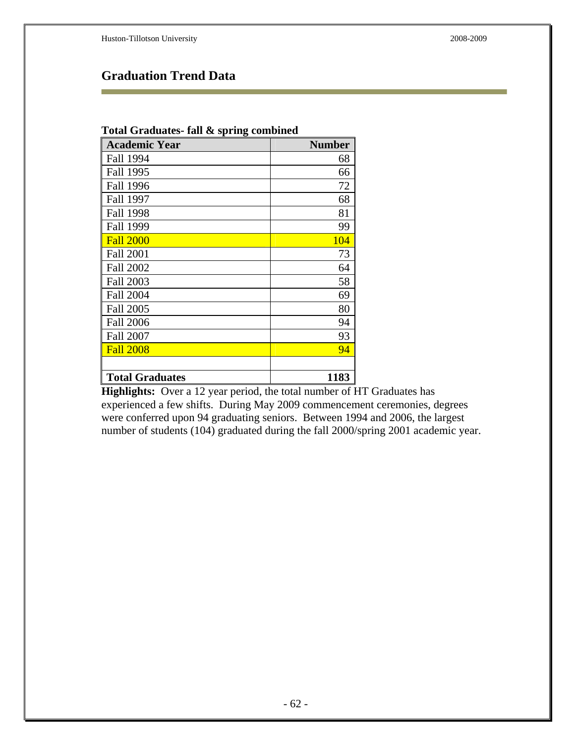# **Graduation Trend Data**

| Total Graduates- fall & spring combined |               |  |  |  |  |
|-----------------------------------------|---------------|--|--|--|--|
| <b>Academic Year</b>                    | <b>Number</b> |  |  |  |  |
| Fall 1994                               | 68            |  |  |  |  |
| Fall 1995                               | 66            |  |  |  |  |
| <b>Fall 1996</b>                        | 72            |  |  |  |  |
| Fall 1997                               | 68            |  |  |  |  |
| <b>Fall 1998</b>                        | 81            |  |  |  |  |
| Fall 1999                               | 99            |  |  |  |  |
| <b>Fall 2000</b>                        | 104           |  |  |  |  |
| <b>Fall 2001</b>                        | 73            |  |  |  |  |
| <b>Fall 2002</b>                        | 64            |  |  |  |  |
| <b>Fall 2003</b>                        | 58            |  |  |  |  |
| <b>Fall 2004</b>                        | 69            |  |  |  |  |
| <b>Fall 2005</b>                        | 80            |  |  |  |  |
| <b>Fall 2006</b>                        | 94            |  |  |  |  |
| <b>Fall 2007</b>                        | 93            |  |  |  |  |
| <b>Fall 2008</b>                        | 94            |  |  |  |  |
|                                         |               |  |  |  |  |
| <b>Total Graduates</b>                  | 1183          |  |  |  |  |

**Highlights:** Over a 12 year period, the total number of HT Graduates has experienced a few shifts. During May 2009 commencement ceremonies, degrees were conferred upon 94 graduating seniors. Between 1994 and 2006, the largest number of students (104) graduated during the fall 2000/spring 2001 academic year.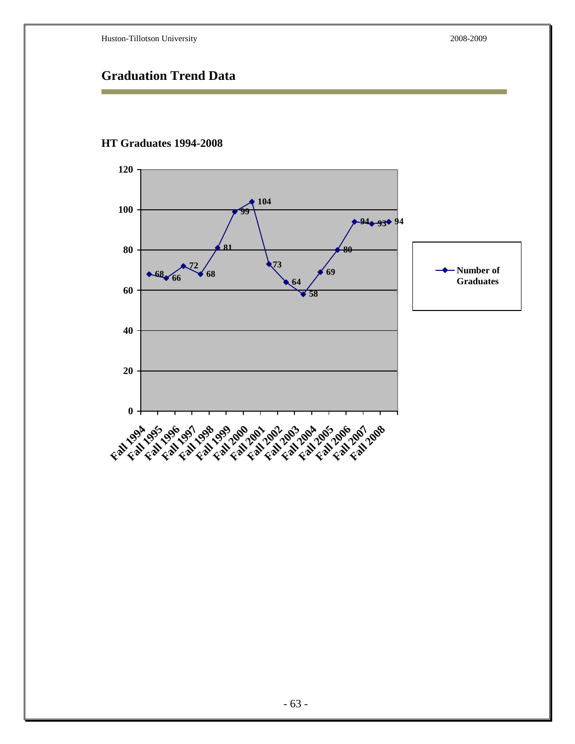# **Graduation Trend Data**



#### **HT Graduates 1994-2008**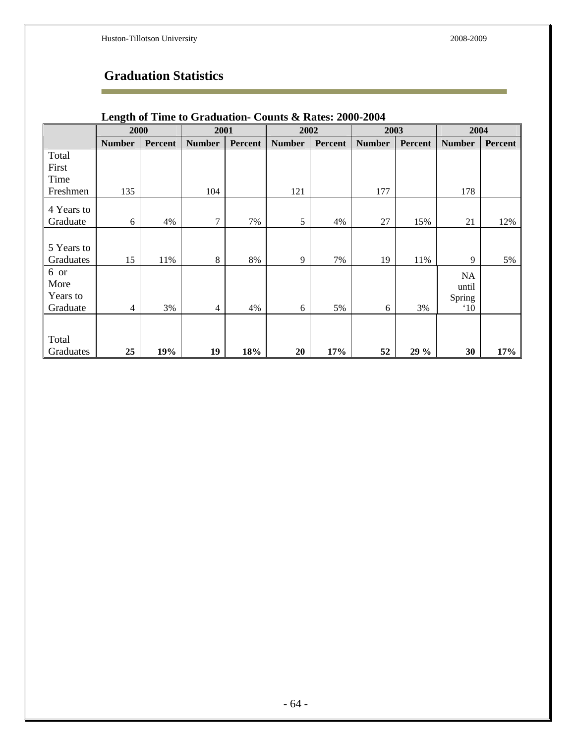÷

# **Graduation Statistics**

|            | 2000          |                | 2001           |         | 2002          |         | 2003          |                | 2004          |                |
|------------|---------------|----------------|----------------|---------|---------------|---------|---------------|----------------|---------------|----------------|
|            | <b>Number</b> | <b>Percent</b> | <b>Number</b>  | Percent | <b>Number</b> | Percent | <b>Number</b> | <b>Percent</b> | <b>Number</b> | <b>Percent</b> |
| Total      |               |                |                |         |               |         |               |                |               |                |
| First      |               |                |                |         |               |         |               |                |               |                |
| Time       |               |                |                |         |               |         |               |                |               |                |
| Freshmen   | 135           |                | 104            |         | 121           |         | 177           |                | 178           |                |
| 4 Years to |               |                |                |         |               |         |               |                |               |                |
| Graduate   | 6             | 4%             | $\overline{7}$ | 7%      | 5             | 4%      | 27            | 15%            | 21            | 12%            |
|            |               |                |                |         |               |         |               |                |               |                |
| 5 Years to |               |                |                |         |               |         |               |                |               |                |
| Graduates  | 15            | 11%            | 8              | 8%      | 9             | 7%      | 19            | 11%            | 9             | 5%             |
| 6 or       |               |                |                |         |               |         |               |                | NA            |                |
| More       |               |                |                |         |               |         |               |                | until         |                |
| Years to   |               |                |                |         |               |         |               |                | Spring        |                |
| Graduate   | 4             | 3%             | $\overline{4}$ | 4%      | 6             | 5%      | 6             | 3%             | $^{\circ}10$  |                |
|            |               |                |                |         |               |         |               |                |               |                |
| Total      |               |                |                |         |               |         |               |                |               |                |
| Graduates  | 25            | 19%            | 19             | 18%     | 20            | 17%     | 52            | 29 %           | 30            | 17%            |

### **Length of Time to Graduation- Counts & Rates: 2000-2004**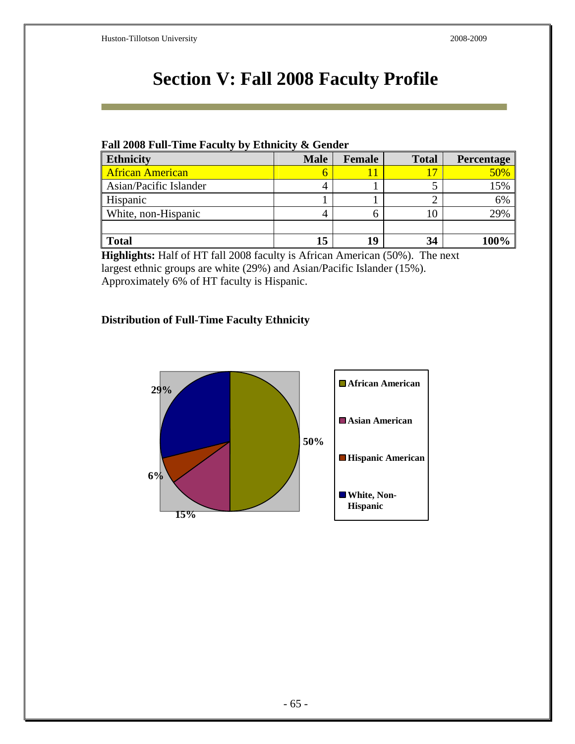# **Section V: Fall 2008 Faculty Profile**

### **Fall 2008 Full-Time Faculty by Ethnicity & Gender**

| <b>Ethnicity</b>        | <b>Male</b> | Female | <b>Total</b> | Percentage |
|-------------------------|-------------|--------|--------------|------------|
| <b>African American</b> | O           |        | 17           | 50%        |
| Asian/Pacific Islander  |             |        |              | 15%        |
| Hispanic                |             |        | ◠            | 6%         |
| White, non-Hispanic     |             |        | 10           | 29%        |
|                         |             |        |              |            |
| <b>Total</b>            | 15          |        | 34           |            |

**Highlights:** Half of HT fall 2008 faculty is African American (50%). The next largest ethnic groups are white (29%) and Asian/Pacific Islander (15%). Approximately 6% of HT faculty is Hispanic.

### **Distribution of Full-Time Faculty Ethnicity**

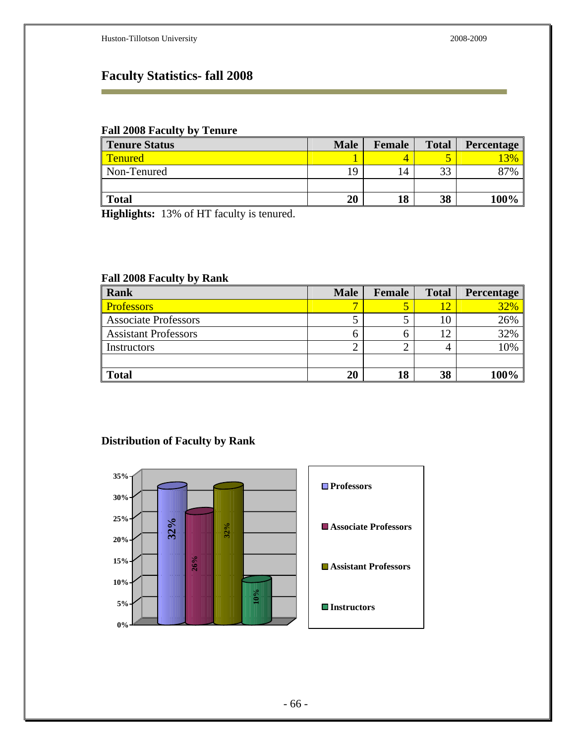# **Faculty Statistics- fall 2008**

#### **Fall 2008 Faculty by Tenure**

| <b>Tenure Status</b> | <b>Male</b>    | Female | <b>Total</b> | <b>Percentage</b> |
|----------------------|----------------|--------|--------------|-------------------|
| <b>Tenured</b>       |                | 4      |              | 3%                |
| Non-Tenured          | $\overline{Q}$ | 14     | 33           | 87%               |
|                      |                |        |              |                   |
| <b>Total</b>         | 20             | 18     | 38           | 100%              |

**Highlights:** 13% of HT faculty is tenured.

#### **Fall 2008 Faculty by Rank**

| Rank                        | <b>Male</b> | Female | <b>Total</b> | Percentage |
|-----------------------------|-------------|--------|--------------|------------|
| <b>Professors</b>           |             |        |              | 32%        |
| <b>Associate Professors</b> |             |        |              | 26%        |
| <b>Assistant Professors</b> |             |        | 12           | 32%        |
| Instructors                 |             |        |              | 10%        |
|                             |             |        |              |            |
| <b>Total</b>                | 20          | 18     | 38           | 100%       |

### **Distribution of Faculty by Rank**

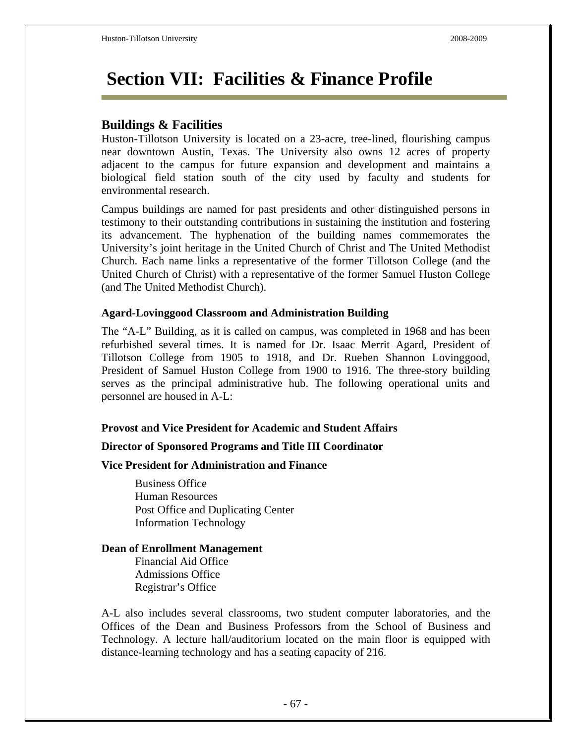# **Section VII: Facilities & Finance Profile**

### **Buildings & Facilities**

Huston-Tillotson University is located on a 23-acre, tree-lined, flourishing campus near downtown Austin, Texas. The University also owns 12 acres of property adjacent to the campus for future expansion and development and maintains a biological field station south of the city used by faculty and students for environmental research.

Campus buildings are named for past presidents and other distinguished persons in testimony to their outstanding contributions in sustaining the institution and fostering its advancement. The hyphenation of the building names commemorates the University's joint heritage in the United Church of Christ and The United Methodist Church. Each name links a representative of the former Tillotson College (and the United Church of Christ) with a representative of the former Samuel Huston College (and The United Methodist Church).

#### **Agard-Lovinggood Classroom and Administration Building**

The "A-L" Building, as it is called on campus, was completed in 1968 and has been refurbished several times. It is named for Dr. Isaac Merrit Agard, President of Tillotson College from 1905 to 1918, and Dr. Rueben Shannon Lovinggood, President of Samuel Huston College from 1900 to 1916. The three-story building serves as the principal administrative hub. The following operational units and personnel are housed in A-L:

### **Provost and Vice President for Academic and Student Affairs**

### **Director of Sponsored Programs and Title III Coordinator**

#### **Vice President for Administration and Finance**

 Business Office Human Resources Post Office and Duplicating Center Information Technology

#### **Dean of Enrollment Management**

Financial Aid Office Admissions Office Registrar's Office

A-L also includes several classrooms, two student computer laboratories, and the Offices of the Dean and Business Professors from the School of Business and Technology. A lecture hall/auditorium located on the main floor is equipped with distance-learning technology and has a seating capacity of 216.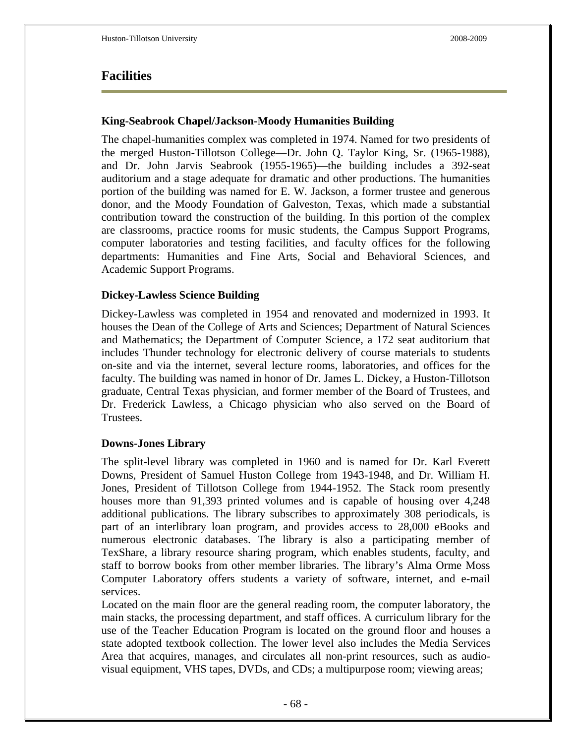### **Facilities**

#### **King-Seabrook Chapel/Jackson-Moody Humanities Building**

The chapel-humanities complex was completed in 1974. Named for two presidents of the merged Huston-Tillotson College—Dr. John Q. Taylor King, Sr. (1965-1988), and Dr. John Jarvis Seabrook (1955-1965)—the building includes a 392-seat auditorium and a stage adequate for dramatic and other productions. The humanities portion of the building was named for E. W. Jackson, a former trustee and generous donor, and the Moody Foundation of Galveston, Texas, which made a substantial contribution toward the construction of the building. In this portion of the complex are classrooms, practice rooms for music students, the Campus Support Programs, computer laboratories and testing facilities, and faculty offices for the following departments: Humanities and Fine Arts, Social and Behavioral Sciences, and Academic Support Programs.

#### **Dickey-Lawless Science Building**

Dickey-Lawless was completed in 1954 and renovated and modernized in 1993. It houses the Dean of the College of Arts and Sciences; Department of Natural Sciences and Mathematics; the Department of Computer Science, a 172 seat auditorium that includes Thunder technology for electronic delivery of course materials to students on-site and via the internet, several lecture rooms, laboratories, and offices for the faculty. The building was named in honor of Dr. James L. Dickey, a Huston-Tillotson graduate, Central Texas physician, and former member of the Board of Trustees, and Dr. Frederick Lawless, a Chicago physician who also served on the Board of Trustees.

### **Downs-Jones Library**

The split-level library was completed in 1960 and is named for Dr. Karl Everett Downs, President of Samuel Huston College from 1943-1948, and Dr. William H. Jones, President of Tillotson College from 1944-1952. The Stack room presently houses more than 91,393 printed volumes and is capable of housing over 4,248 additional publications. The library subscribes to approximately 308 periodicals, is part of an interlibrary loan program, and provides access to 28,000 eBooks and numerous electronic databases. The library is also a participating member of TexShare, a library resource sharing program, which enables students, faculty, and staff to borrow books from other member libraries. The library's Alma Orme Moss Computer Laboratory offers students a variety of software, internet, and e-mail services.

Located on the main floor are the general reading room, the computer laboratory, the main stacks, the processing department, and staff offices. A curriculum library for the use of the Teacher Education Program is located on the ground floor and houses a state adopted textbook collection. The lower level also includes the Media Services Area that acquires, manages, and circulates all non-print resources, such as audiovisual equipment, VHS tapes, DVDs, and CDs; a multipurpose room; viewing areas;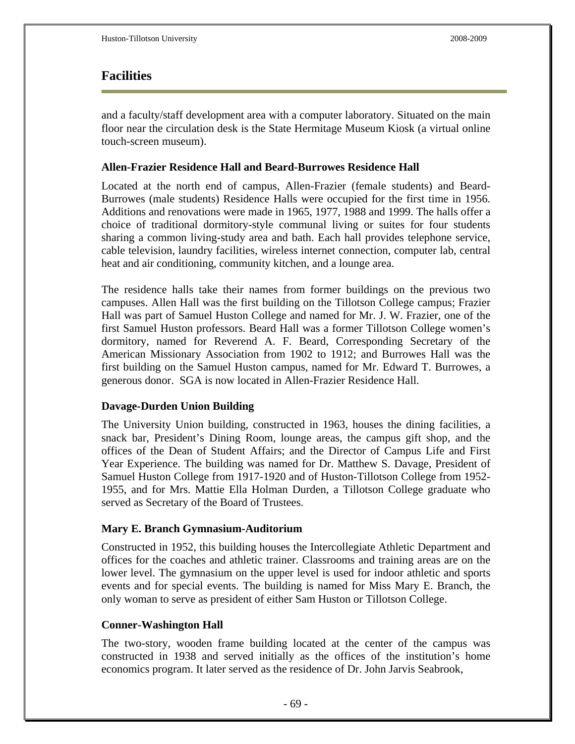## **Facilities**

and a faculty/staff development area with a computer laboratory. Situated on the main floor near the circulation desk is the State Hermitage Museum Kiosk (a virtual online touch-screen museum).

### **Allen-Frazier Residence Hall and Beard-Burrowes Residence Hall**

Located at the north end of campus, Allen-Frazier (female students) and Beard-Burrowes (male students) Residence Halls were occupied for the first time in 1956. Additions and renovations were made in 1965, 1977, 1988 and 1999. The halls offer a choice of traditional dormitory-style communal living or suites for four students sharing a common living-study area and bath. Each hall provides telephone service, cable television, laundry facilities, wireless internet connection, computer lab, central heat and air conditioning, community kitchen, and a lounge area.

The residence halls take their names from former buildings on the previous two campuses. Allen Hall was the first building on the Tillotson College campus; Frazier Hall was part of Samuel Huston College and named for Mr. J. W. Frazier, one of the first Samuel Huston professors. Beard Hall was a former Tillotson College women's dormitory, named for Reverend A. F. Beard, Corresponding Secretary of the American Missionary Association from 1902 to 1912; and Burrowes Hall was the first building on the Samuel Huston campus, named for Mr. Edward T. Burrowes, a generous donor. SGA is now located in Allen-Frazier Residence Hall.

### **Davage-Durden Union Building**

The University Union building, constructed in 1963, houses the dining facilities, a snack bar, President's Dining Room, lounge areas, the campus gift shop, and the offices of the Dean of Student Affairs; and the Director of Campus Life and First Year Experience. The building was named for Dr. Matthew S. Davage, President of Samuel Huston College from 1917-1920 and of Huston-Tillotson College from 1952- 1955, and for Mrs. Mattie Ella Holman Durden, a Tillotson College graduate who served as Secretary of the Board of Trustees.

#### **Mary E. Branch Gymnasium-Auditorium**

Constructed in 1952, this building houses the Intercollegiate Athletic Department and offices for the coaches and athletic trainer. Classrooms and training areas are on the lower level. The gymnasium on the upper level is used for indoor athletic and sports events and for special events. The building is named for Miss Mary E. Branch, the only woman to serve as president of either Sam Huston or Tillotson College.

#### **Conner-Washington Hall**

The two-story, wooden frame building located at the center of the campus was constructed in 1938 and served initially as the offices of the institution's home economics program. It later served as the residence of Dr. John Jarvis Seabrook,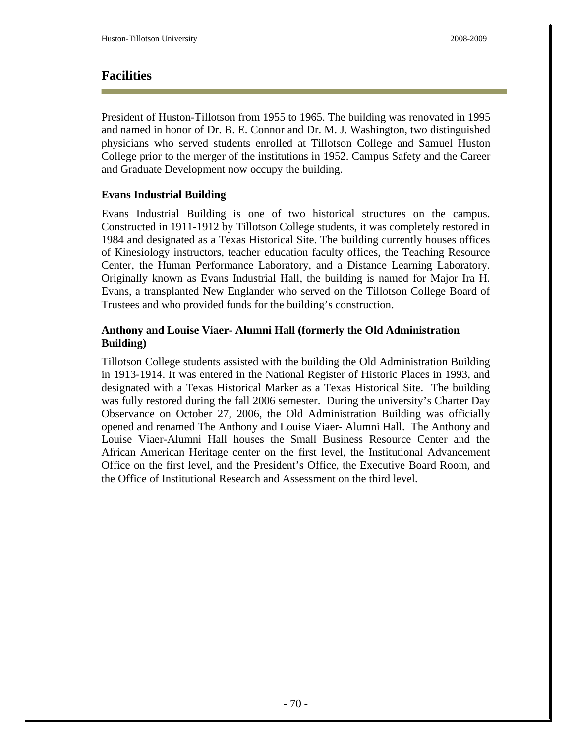## **Facilities**

President of Huston-Tillotson from 1955 to 1965. The building was renovated in 1995 and named in honor of Dr. B. E. Connor and Dr. M. J. Washington, two distinguished physicians who served students enrolled at Tillotson College and Samuel Huston College prior to the merger of the institutions in 1952. Campus Safety and the Career and Graduate Development now occupy the building.

### **Evans Industrial Building**

Evans Industrial Building is one of two historical structures on the campus. Constructed in 1911-1912 by Tillotson College students, it was completely restored in 1984 and designated as a Texas Historical Site. The building currently houses offices of Kinesiology instructors, teacher education faculty offices, the Teaching Resource Center, the Human Performance Laboratory, and a Distance Learning Laboratory. Originally known as Evans Industrial Hall, the building is named for Major Ira H. Evans, a transplanted New Englander who served on the Tillotson College Board of Trustees and who provided funds for the building's construction.

### **Anthony and Louise Viaer- Alumni Hall (formerly the Old Administration Building)**

Tillotson College students assisted with the building the Old Administration Building in 1913-1914. It was entered in the National Register of Historic Places in 1993, and designated with a Texas Historical Marker as a Texas Historical Site. The building was fully restored during the fall 2006 semester. During the university's Charter Day Observance on October 27, 2006, the Old Administration Building was officially opened and renamed The Anthony and Louise Viaer- Alumni Hall. The Anthony and Louise Viaer-Alumni Hall houses the Small Business Resource Center and the African American Heritage center on the first level, the Institutional Advancement Office on the first level, and the President's Office, the Executive Board Room, and the Office of Institutional Research and Assessment on the third level.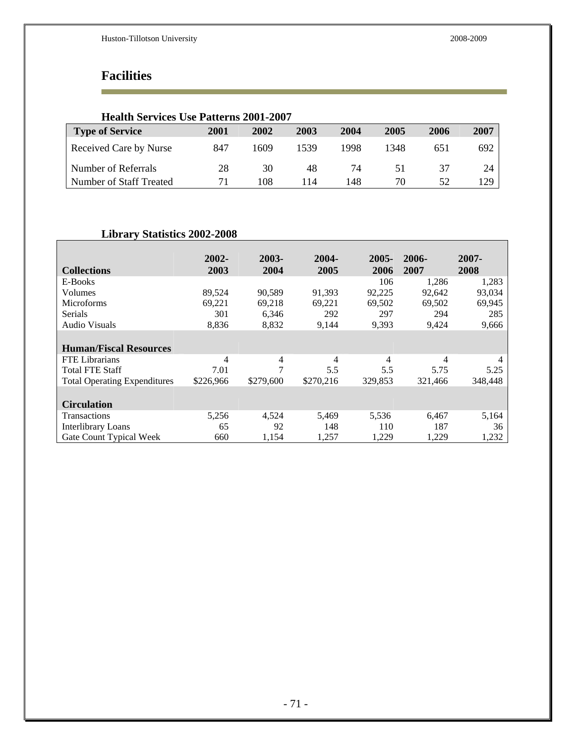# **Facilities**

r

 $\mathbf{r}$ 

| <b>Health Services Use Patterns 2001-2007</b> |      |      |      |      |      |      |      |
|-----------------------------------------------|------|------|------|------|------|------|------|
| <b>Type of Service</b>                        | 2001 | 2002 | 2003 | 2004 | 2005 | 2006 | 2007 |
| Received Care by Nurse                        | 847  | 1609 | 1539 | 1998 | 1348 | 651  | 692  |
| Number of Referrals                           | 28   | 30   | 48   | 74   | 51   | 37   | 24   |
| Number of Staff Treated                       |      | 108  | 114  | 148  | 70   | 52   | 129  |

### **Library Statistics 2002-2008**

|                                     | 2002-     | 2003-     | 2004-     | $2005 -$ | $2006 -$ | 2007-   |
|-------------------------------------|-----------|-----------|-----------|----------|----------|---------|
| <b>Collections</b>                  | 2003      | 2004      | 2005      | 2006     | 2007     | 2008    |
| E-Books                             |           |           |           | 106      | 1,286    | 1,283   |
| Volumes                             | 89,524    | 90,589    | 91,393    | 92,225   | 92,642   | 93,034  |
| <b>Microforms</b>                   | 69,221    | 69,218    | 69,221    | 69,502   | 69,502   | 69,945  |
| Serials                             | 301       | 6,346     | 292       | 297      | 294      | 285     |
| <b>Audio Visuals</b>                | 8,836     | 8,832     | 9,144     | 9,393    | 9,424    | 9,666   |
|                                     |           |           |           |          |          |         |
| <b>Human/Fiscal Resources</b>       |           |           |           |          |          |         |
| <b>FTE</b> Librarians               | 4         | 4         | 4         | 4        | 4        | 4       |
| <b>Total FTE Staff</b>              | 7.01      | 7         | 5.5       | 5.5      | 5.75     | 5.25    |
| <b>Total Operating Expenditures</b> | \$226,966 | \$279,600 | \$270,216 | 329,853  | 321,466  | 348,448 |
|                                     |           |           |           |          |          |         |
| <b>Circulation</b>                  |           |           |           |          |          |         |
| Transactions                        | 5,256     | 4,524     | 5,469     | 5,536    | 6,467    | 5,164   |
| <b>Interlibrary Loans</b>           | 65        | 92        | 148       | 110      | 187      | 36      |
| Gate Count Typical Week             | 660       | 1,154     | 1,257     | 1,229    | 1,229    | 1,232   |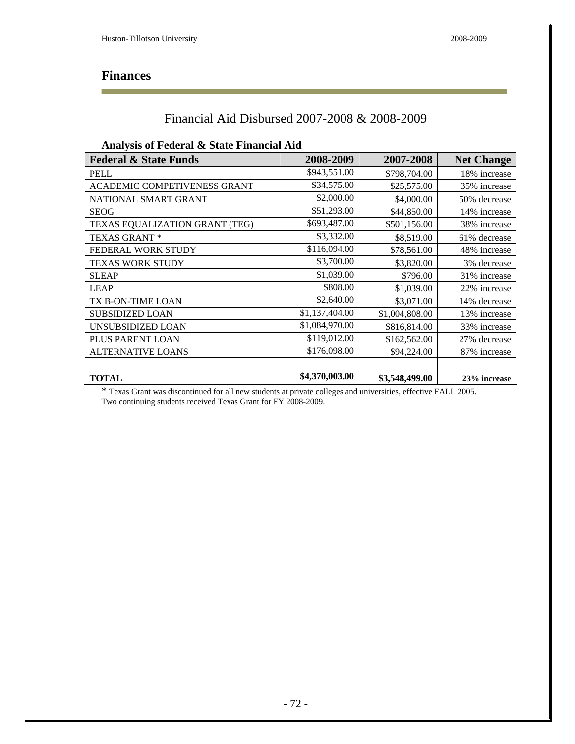# **Finances**

r

## Financial Aid Disbursed 2007-2008 & 2008-2009

| <b>Federal &amp; State Funds</b> | 2008-2009      | 2007-2008      | <b>Net Change</b> |
|----------------------------------|----------------|----------------|-------------------|
| <b>PELL</b>                      | \$943,551.00   | \$798,704.00   | 18% increase      |
| ACADEMIC COMPETIVENESS GRANT     | \$34,575.00    | \$25,575.00    | 35% increase      |
| NATIONAL SMART GRANT             | \$2,000.00     | \$4,000.00     | 50% decrease      |
| <b>SEOG</b>                      | \$51,293.00    | \$44,850.00    | 14% increase      |
| TEXAS EQUALIZATION GRANT (TEG)   | \$693,487.00   | \$501,156.00   | 38% increase      |
| TEXAS GRANT*                     | \$3,332.00     | \$8,519.00     | 61% decrease      |
| FEDERAL WORK STUDY               | \$116,094.00   | \$78,561.00    | 48% increase      |
| <b>TEXAS WORK STUDY</b>          | \$3,700.00     | \$3,820.00     | 3% decrease       |
| <b>SLEAP</b>                     | \$1,039.00     | \$796.00       | 31% increase      |
| <b>LEAP</b>                      | \$808.00       | \$1,039.00     | 22% increase      |
| TX B-ON-TIME LOAN                | \$2,640.00     | \$3,071.00     | 14% decrease      |
| <b>SUBSIDIZED LOAN</b>           | \$1,137,404.00 | \$1,004,808.00 | 13% increase      |
| UNSUBSIDIZED LOAN                | \$1,084,970.00 | \$816,814.00   | 33% increase      |
| PLUS PARENT LOAN                 | \$119,012.00   | \$162,562.00   | 27% decrease      |
| <b>ALTERNATIVE LOANS</b>         | \$176,098.00   | \$94,224.00    | 87% increase      |
|                                  |                |                |                   |
| <b>TOTAL</b>                     | \$4,370,003.00 | \$3,548,499.00 | 23% increase      |

\* Texas Grant was discontinued for all new students at private colleges and universities, effective FALL 2005. Two continuing students received Texas Grant for FY 2008-2009.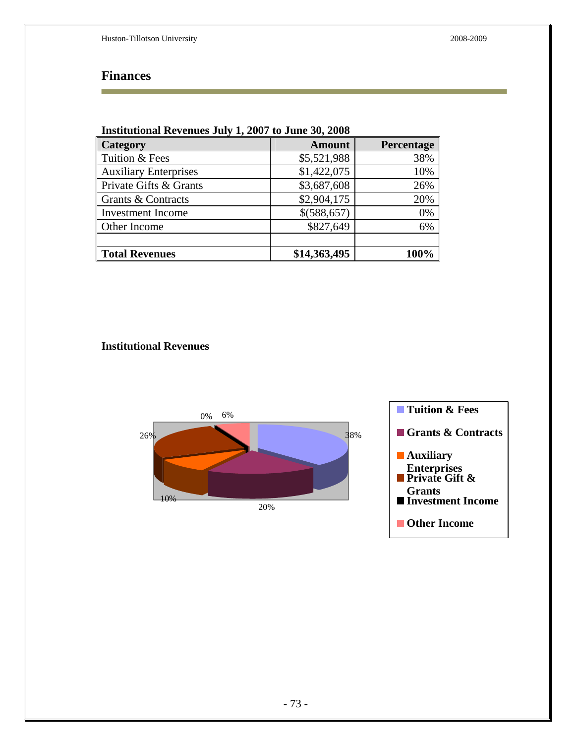## **Finances**

| Institutional Revenues July 1, 2007 to June 30, 2008 |               |            |  |  |  |
|------------------------------------------------------|---------------|------------|--|--|--|
| Category                                             | <b>Amount</b> | Percentage |  |  |  |
| Tuition & Fees                                       | \$5,521,988   | 38%        |  |  |  |
| <b>Auxiliary Enterprises</b>                         | \$1,422,075   | 10%        |  |  |  |
| Private Gifts & Grants                               | \$3,687,608   | 26%        |  |  |  |
| Grants & Contracts                                   | \$2,904,175   | 20%        |  |  |  |
| <b>Investment Income</b>                             | \$(588,657)   | 0%         |  |  |  |
| Other Income                                         | \$827,649     | 6%         |  |  |  |
|                                                      |               |            |  |  |  |
| <b>Total Revenues</b>                                | \$14,363,495  | 100%       |  |  |  |

### **Institutional Revenues**

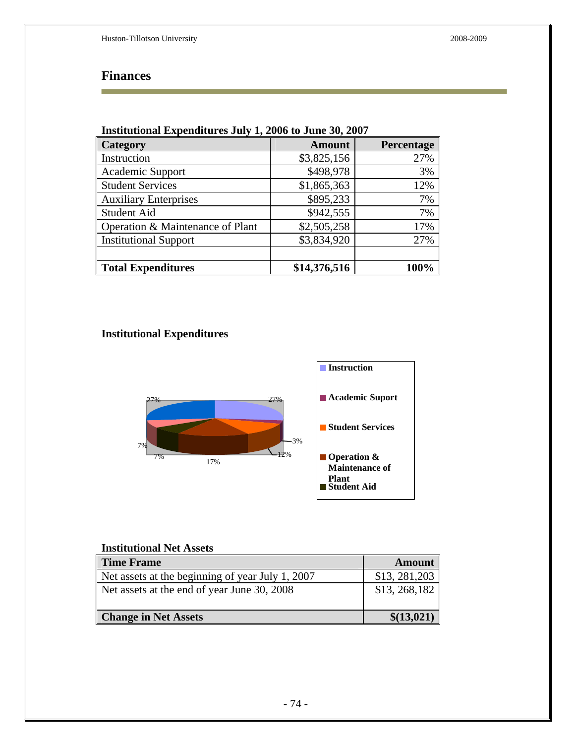# **Finances**

| Institutional expenditures July 1, 2000 to June 30, 2007 |               |            |  |  |  |
|----------------------------------------------------------|---------------|------------|--|--|--|
| Category                                                 | <b>Amount</b> | Percentage |  |  |  |
| Instruction                                              | \$3,825,156   | 27%        |  |  |  |
| Academic Support                                         | \$498,978     | 3%         |  |  |  |
| <b>Student Services</b>                                  | \$1,865,363   | 12%        |  |  |  |
| <b>Auxiliary Enterprises</b>                             | \$895,233     | 7%         |  |  |  |
| <b>Student Aid</b>                                       | \$942,555     | 7%         |  |  |  |
| Operation & Maintenance of Plant                         | \$2,505,258   | 17%        |  |  |  |
| <b>Institutional Support</b>                             | \$3,834,920   | 27%        |  |  |  |
|                                                          |               |            |  |  |  |
| <b>Total Expenditures</b>                                | \$14,376,516  | 100%       |  |  |  |

## **Institutional Expenditures July 1, 2006 to June 30, 2007**

## **Institutional Expenditures**



### **Institutional Net Assets**

| <b>Time Frame</b>                                | <b>Amount</b>  |
|--------------------------------------------------|----------------|
| Net assets at the beginning of year July 1, 2007 | \$13, 281, 203 |
| Net assets at the end of year June 30, 2008      | \$13, 268, 182 |
| <b>Change in Net Assets</b>                      | \$(13,021)     |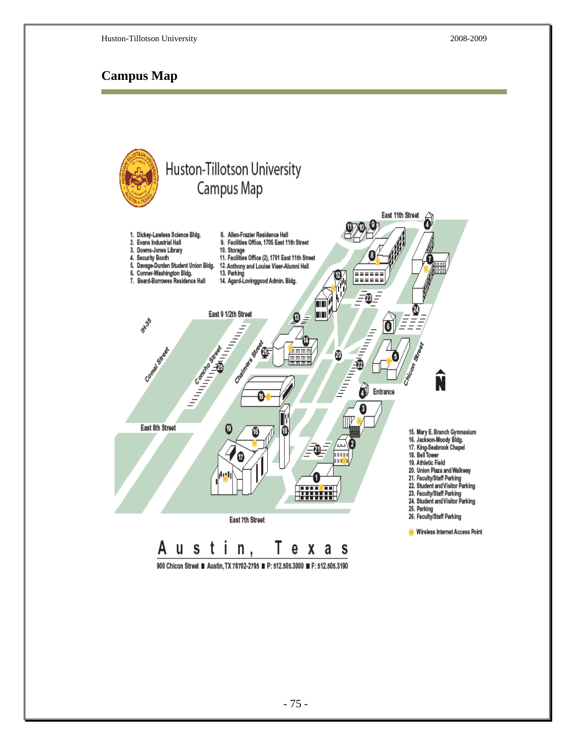## **Campus Map**